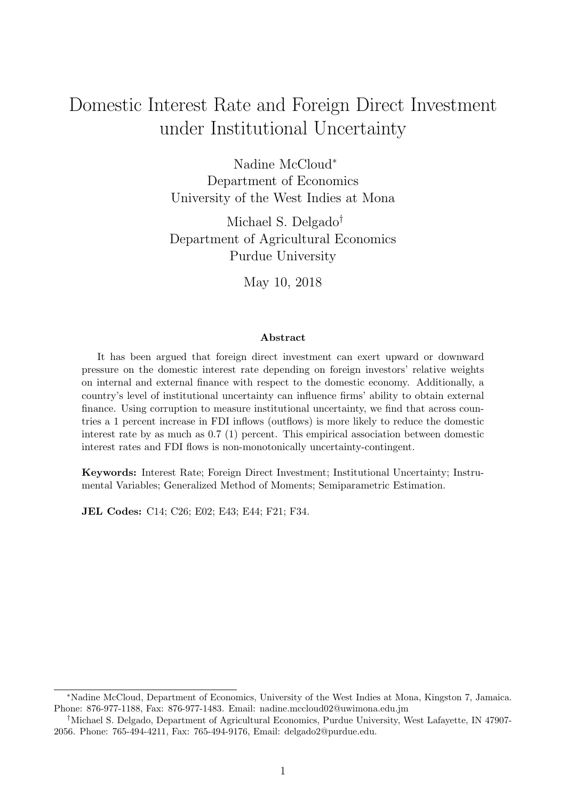# Domestic Interest Rate and Foreign Direct Investment under Institutional Uncertainty

Nadine McCloud<sup>∗</sup> Department of Economics University of the West Indies at Mona

Michael S. Delgado† Department of Agricultural Economics Purdue University

May 10, 2018

#### Abstract

It has been argued that foreign direct investment can exert upward or downward pressure on the domestic interest rate depending on foreign investors' relative weights on internal and external finance with respect to the domestic economy. Additionally, a country's level of institutional uncertainty can influence firms' ability to obtain external finance. Using corruption to measure institutional uncertainty, we find that across countries a 1 percent increase in FDI inflows (outflows) is more likely to reduce the domestic interest rate by as much as 0.7 (1) percent. This empirical association between domestic interest rates and FDI flows is non-monotonically uncertainty-contingent.

Keywords: Interest Rate; Foreign Direct Investment; Institutional Uncertainty; Instrumental Variables; Generalized Method of Moments; Semiparametric Estimation.

JEL Codes: C14; C26; E02; E43; E44; F21; F34.

<sup>∗</sup>Nadine McCloud, Department of Economics, University of the West Indies at Mona, Kingston 7, Jamaica. Phone: 876-977-1188, Fax: 876-977-1483. Email: nadine.mccloud02@uwimona.edu.jm

<sup>†</sup>Michael S. Delgado, Department of Agricultural Economics, Purdue University, West Lafayette, IN 47907- 2056. Phone: 765-494-4211, Fax: 765-494-9176, Email: delgado2@purdue.edu.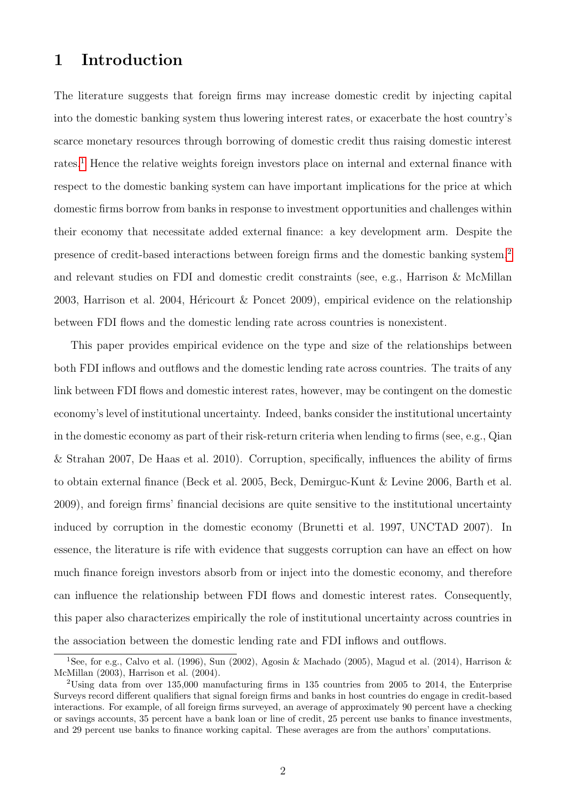## 1 Introduction

The literature suggests that foreign firms may increase domestic credit by injecting capital into the domestic banking system thus lowering interest rates, or exacerbate the host country's scarce monetary resources through borrowing of domestic credit thus raising domestic interest rates.[1](#page-1-0) Hence the relative weights foreign investors place on internal and external finance with respect to the domestic banking system can have important implications for the price at which domestic firms borrow from banks in response to investment opportunities and challenges within their economy that necessitate added external finance: a key development arm. Despite the presence of credit-based interactions between foreign firms and the domestic banking system,[2](#page-1-1) and relevant studies on FDI and domestic credit constraints (see, e.g., Harrison & McMillan 2003, Harrison et al. 2004, Héricourt & Poncet 2009), empirical evidence on the relationship between FDI flows and the domestic lending rate across countries is nonexistent.

This paper provides empirical evidence on the type and size of the relationships between both FDI inflows and outflows and the domestic lending rate across countries. The traits of any link between FDI flows and domestic interest rates, however, may be contingent on the domestic economy's level of institutional uncertainty. Indeed, banks consider the institutional uncertainty in the domestic economy as part of their risk-return criteria when lending to firms (see, e.g., Qian & Strahan 2007, De Haas et al. 2010). Corruption, specifically, influences the ability of firms to obtain external finance (Beck et al. 2005, Beck, Demirguc-Kunt & Levine 2006, Barth et al. 2009), and foreign firms' financial decisions are quite sensitive to the institutional uncertainty induced by corruption in the domestic economy (Brunetti et al. 1997, UNCTAD 2007). In essence, the literature is rife with evidence that suggests corruption can have an effect on how much finance foreign investors absorb from or inject into the domestic economy, and therefore can influence the relationship between FDI flows and domestic interest rates. Consequently, this paper also characterizes empirically the role of institutional uncertainty across countries in the association between the domestic lending rate and FDI inflows and outflows.

<span id="page-1-0"></span><sup>&</sup>lt;sup>1</sup>See, for e.g., Calvo et al. (1996), Sun (2002), Agosin & Machado (2005), Magud et al. (2014), Harrison & McMillan (2003), Harrison et al. (2004).

<span id="page-1-1"></span><sup>&</sup>lt;sup>2</sup>Using data from over 135,000 manufacturing firms in 135 countries from 2005 to 2014, the Enterprise Surveys record different qualifiers that signal foreign firms and banks in host countries do engage in credit-based interactions. For example, of all foreign firms surveyed, an average of approximately 90 percent have a checking or savings accounts, 35 percent have a bank loan or line of credit, 25 percent use banks to finance investments, and 29 percent use banks to finance working capital. These averages are from the authors' computations.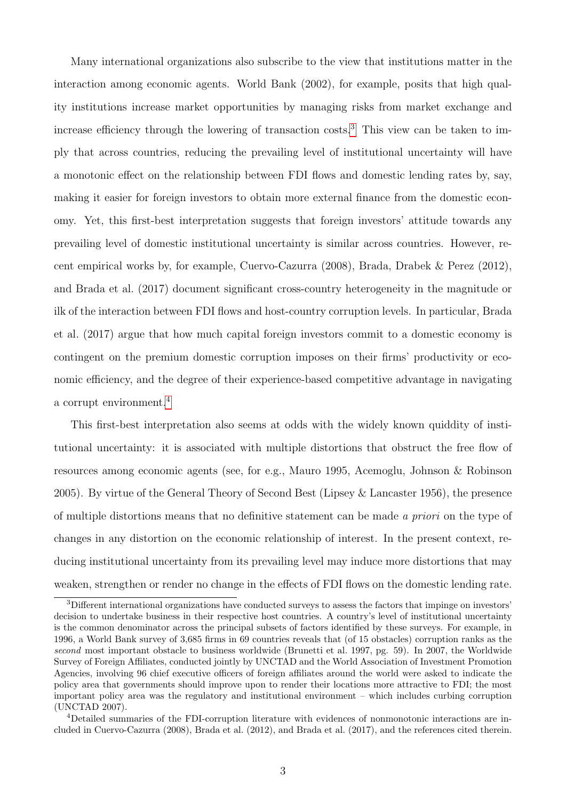Many international organizations also subscribe to the view that institutions matter in the interaction among economic agents. World Bank (2002), for example, posits that high quality institutions increase market opportunities by managing risks from market exchange and increase efficiency through the lowering of transaction costs.<sup>[3](#page-2-0)</sup> This view can be taken to imply that across countries, reducing the prevailing level of institutional uncertainty will have a monotonic effect on the relationship between FDI flows and domestic lending rates by, say, making it easier for foreign investors to obtain more external finance from the domestic economy. Yet, this first-best interpretation suggests that foreign investors' attitude towards any prevailing level of domestic institutional uncertainty is similar across countries. However, recent empirical works by, for example, Cuervo-Cazurra (2008), Brada, Drabek & Perez (2012), and Brada et al. (2017) document significant cross-country heterogeneity in the magnitude or ilk of the interaction between FDI flows and host-country corruption levels. In particular, Brada et al. (2017) argue that how much capital foreign investors commit to a domestic economy is contingent on the premium domestic corruption imposes on their firms' productivity or economic efficiency, and the degree of their experience-based competitive advantage in navigating a corrupt environment.<sup>[4](#page-2-1)</sup>

This first-best interpretation also seems at odds with the widely known quiddity of institutional uncertainty: it is associated with multiple distortions that obstruct the free flow of resources among economic agents (see, for e.g., Mauro 1995, Acemoglu, Johnson & Robinson 2005). By virtue of the General Theory of Second Best (Lipsey & Lancaster 1956), the presence of multiple distortions means that no definitive statement can be made a priori on the type of changes in any distortion on the economic relationship of interest. In the present context, reducing institutional uncertainty from its prevailing level may induce more distortions that may weaken, strengthen or render no change in the effects of FDI flows on the domestic lending rate.

<span id="page-2-0"></span><sup>3</sup>Different international organizations have conducted surveys to assess the factors that impinge on investors' decision to undertake business in their respective host countries. A country's level of institutional uncertainty is the common denominator across the principal subsets of factors identified by these surveys. For example, in 1996, a World Bank survey of 3,685 firms in 69 countries reveals that (of 15 obstacles) corruption ranks as the second most important obstacle to business worldwide (Brunetti et al. 1997, pg. 59). In 2007, the Worldwide Survey of Foreign Affiliates, conducted jointly by UNCTAD and the World Association of Investment Promotion Agencies, involving 96 chief executive officers of foreign affiliates around the world were asked to indicate the policy area that governments should improve upon to render their locations more attractive to FDI; the most important policy area was the regulatory and institutional environment – which includes curbing corruption (UNCTAD 2007).

<span id="page-2-1"></span><sup>4</sup>Detailed summaries of the FDI-corruption literature with evidences of nonmonotonic interactions are included in Cuervo-Cazurra (2008), Brada et al. (2012), and Brada et al. (2017), and the references cited therein.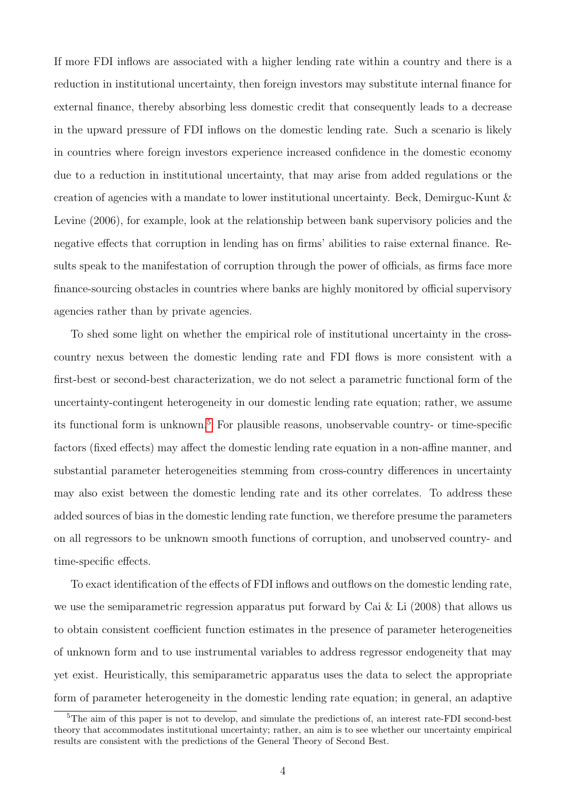If more FDI inflows are associated with a higher lending rate within a country and there is a reduction in institutional uncertainty, then foreign investors may substitute internal finance for external finance, thereby absorbing less domestic credit that consequently leads to a decrease in the upward pressure of FDI inflows on the domestic lending rate. Such a scenario is likely in countries where foreign investors experience increased confidence in the domestic economy due to a reduction in institutional uncertainty, that may arise from added regulations or the creation of agencies with a mandate to lower institutional uncertainty. Beck, Demirguc-Kunt & Levine (2006), for example, look at the relationship between bank supervisory policies and the negative effects that corruption in lending has on firms' abilities to raise external finance. Results speak to the manifestation of corruption through the power of officials, as firms face more finance-sourcing obstacles in countries where banks are highly monitored by official supervisory agencies rather than by private agencies.

To shed some light on whether the empirical role of institutional uncertainty in the crosscountry nexus between the domestic lending rate and FDI flows is more consistent with a first-best or second-best characterization, we do not select a parametric functional form of the uncertainty-contingent heterogeneity in our domestic lending rate equation; rather, we assume its functional form is unknown.[5](#page-3-0) For plausible reasons, unobservable country- or time-specific factors (fixed effects) may affect the domestic lending rate equation in a non-affine manner, and substantial parameter heterogeneities stemming from cross-country differences in uncertainty may also exist between the domestic lending rate and its other correlates. To address these added sources of bias in the domestic lending rate function, we therefore presume the parameters on all regressors to be unknown smooth functions of corruption, and unobserved country- and time-specific effects.

To exact identification of the effects of FDI inflows and outflows on the domestic lending rate, we use the semiparametric regression apparatus put forward by Cai  $\&$  Li (2008) that allows us to obtain consistent coefficient function estimates in the presence of parameter heterogeneities of unknown form and to use instrumental variables to address regressor endogeneity that may yet exist. Heuristically, this semiparametric apparatus uses the data to select the appropriate form of parameter heterogeneity in the domestic lending rate equation; in general, an adaptive

<span id="page-3-0"></span><sup>&</sup>lt;sup>5</sup>The aim of this paper is not to develop, and simulate the predictions of, an interest rate-FDI second-best theory that accommodates institutional uncertainty; rather, an aim is to see whether our uncertainty empirical results are consistent with the predictions of the General Theory of Second Best.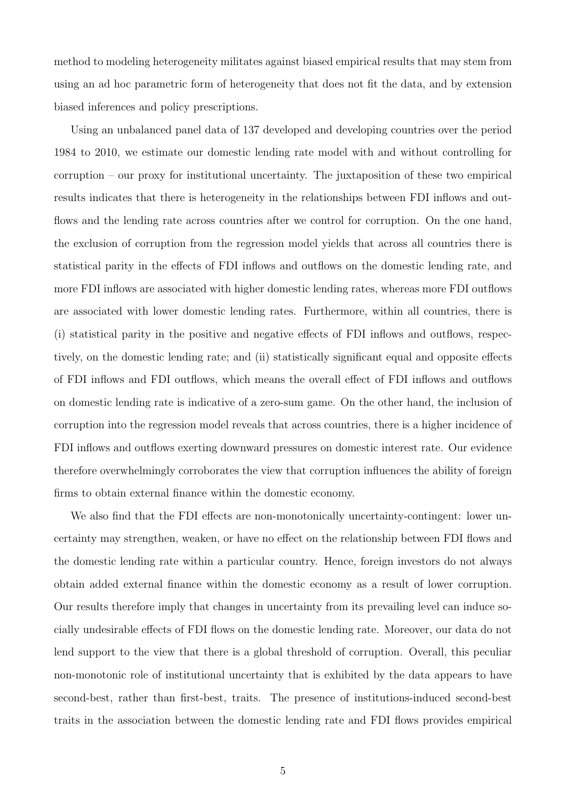method to modeling heterogeneity militates against biased empirical results that may stem from using an ad hoc parametric form of heterogeneity that does not fit the data, and by extension biased inferences and policy prescriptions.

Using an unbalanced panel data of 137 developed and developing countries over the period 1984 to 2010, we estimate our domestic lending rate model with and without controlling for corruption – our proxy for institutional uncertainty. The juxtaposition of these two empirical results indicates that there is heterogeneity in the relationships between FDI inflows and outflows and the lending rate across countries after we control for corruption. On the one hand, the exclusion of corruption from the regression model yields that across all countries there is statistical parity in the effects of FDI inflows and outflows on the domestic lending rate, and more FDI inflows are associated with higher domestic lending rates, whereas more FDI outflows are associated with lower domestic lending rates. Furthermore, within all countries, there is (i) statistical parity in the positive and negative effects of FDI inflows and outflows, respectively, on the domestic lending rate; and (ii) statistically significant equal and opposite effects of FDI inflows and FDI outflows, which means the overall effect of FDI inflows and outflows on domestic lending rate is indicative of a zero-sum game. On the other hand, the inclusion of corruption into the regression model reveals that across countries, there is a higher incidence of FDI inflows and outflows exerting downward pressures on domestic interest rate. Our evidence therefore overwhelmingly corroborates the view that corruption influences the ability of foreign firms to obtain external finance within the domestic economy.

We also find that the FDI effects are non-monotonically uncertainty-contingent: lower uncertainty may strengthen, weaken, or have no effect on the relationship between FDI flows and the domestic lending rate within a particular country. Hence, foreign investors do not always obtain added external finance within the domestic economy as a result of lower corruption. Our results therefore imply that changes in uncertainty from its prevailing level can induce socially undesirable effects of FDI flows on the domestic lending rate. Moreover, our data do not lend support to the view that there is a global threshold of corruption. Overall, this peculiar non-monotonic role of institutional uncertainty that is exhibited by the data appears to have second-best, rather than first-best, traits. The presence of institutions-induced second-best traits in the association between the domestic lending rate and FDI flows provides empirical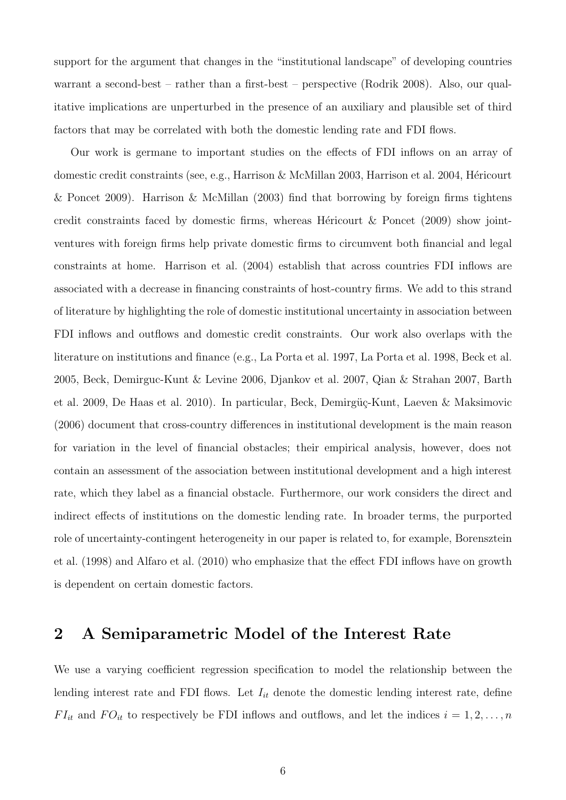support for the argument that changes in the "institutional landscape" of developing countries warrant a second-best – rather than a first-best – perspective (Rodrik 2008). Also, our qualitative implications are unperturbed in the presence of an auxiliary and plausible set of third factors that may be correlated with both the domestic lending rate and FDI flows.

Our work is germane to important studies on the effects of FDI inflows on an array of domestic credit constraints (see, e.g., Harrison & McMillan 2003, Harrison et al. 2004, Héricourt & Poncet 2009). Harrison & McMillan (2003) find that borrowing by foreign firms tightens credit constraints faced by domestic firms, whereas Héricourt  $\&$  Poncet (2009) show jointventures with foreign firms help private domestic firms to circumvent both financial and legal constraints at home. Harrison et al. (2004) establish that across countries FDI inflows are associated with a decrease in financing constraints of host-country firms. We add to this strand of literature by highlighting the role of domestic institutional uncertainty in association between FDI inflows and outflows and domestic credit constraints. Our work also overlaps with the literature on institutions and finance (e.g., La Porta et al. 1997, La Porta et al. 1998, Beck et al. 2005, Beck, Demirguc-Kunt & Levine 2006, Djankov et al. 2007, Qian & Strahan 2007, Barth et al. 2009, De Haas et al. 2010). In particular, Beck, Demirgüç-Kunt, Laeven & Maksimovic (2006) document that cross-country differences in institutional development is the main reason for variation in the level of financial obstacles; their empirical analysis, however, does not contain an assessment of the association between institutional development and a high interest rate, which they label as a financial obstacle. Furthermore, our work considers the direct and indirect effects of institutions on the domestic lending rate. In broader terms, the purported role of uncertainty-contingent heterogeneity in our paper is related to, for example, Borensztein et al. (1998) and Alfaro et al. (2010) who emphasize that the effect FDI inflows have on growth is dependent on certain domestic factors.

## 2 A Semiparametric Model of the Interest Rate

We use a varying coefficient regression specification to model the relationship between the lending interest rate and FDI flows. Let  $I_{it}$  denote the domestic lending interest rate, define  $FI_{it}$  and  $FO_{it}$  to respectively be FDI inflows and outflows, and let the indices  $i = 1, 2, ..., n$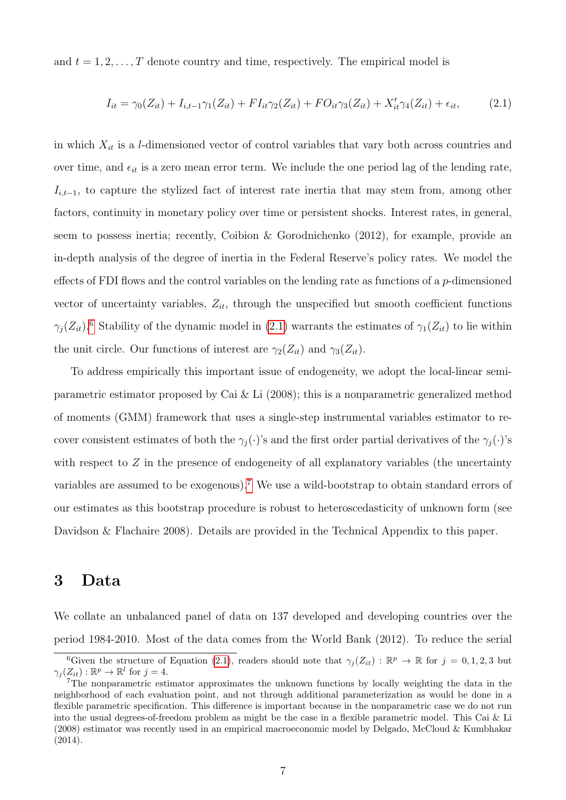and  $t = 1, 2, \ldots, T$  denote country and time, respectively. The empirical model is

<span id="page-6-1"></span>
$$
I_{it} = \gamma_0(Z_{it}) + I_{i,t-1}\gamma_1(Z_{it}) + FI_{it}\gamma_2(Z_{it}) + FO_{it}\gamma_3(Z_{it}) + X'_{it}\gamma_4(Z_{it}) + \epsilon_{it},\tag{2.1}
$$

in which  $X_{it}$  is a *l*-dimensioned vector of control variables that vary both across countries and over time, and  $\epsilon_{it}$  is a zero mean error term. We include the one period lag of the lending rate,  $I_{i,t-1}$ , to capture the stylized fact of interest rate inertia that may stem from, among other factors, continuity in monetary policy over time or persistent shocks. Interest rates, in general, seem to possess inertia; recently, Coibion & Gorodnichenko (2012), for example, provide an in-depth analysis of the degree of inertia in the Federal Reserve's policy rates. We model the effects of FDI flows and the control variables on the lending rate as functions of a  $p$ -dimensioned vector of uncertainty variables,  $Z_{it}$ , through the unspecified but smooth coefficient functions  $\gamma_j(Z_{it})$ .<sup>[6](#page-6-0)</sup> Stability of the dynamic model in [\(2.1\)](#page-6-1) warrants the estimates of  $\gamma_1(Z_{it})$  to lie within the unit circle. Our functions of interest are  $\gamma_2(Z_{it})$  and  $\gamma_3(Z_{it})$ .

To address empirically this important issue of endogeneity, we adopt the local-linear semiparametric estimator proposed by Cai & Li  $(2008)$ ; this is a nonparametric generalized method of moments (GMM) framework that uses a single-step instrumental variables estimator to recover consistent estimates of both the  $\gamma_j(\cdot)$ 's and the first order partial derivatives of the  $\gamma_j(\cdot)$ 's with respect to  $Z$  in the presence of endogeneity of all explanatory variables (the uncertainty variables are assumed to be exogenous).[7](#page-6-2) We use a wild-bootstrap to obtain standard errors of our estimates as this bootstrap procedure is robust to heteroscedasticity of unknown form (see Davidson & Flachaire 2008). Details are provided in the Technical Appendix to this paper.

### 3 Data

We collate an unbalanced panel of data on 137 developed and developing countries over the period 1984-2010. Most of the data comes from the World Bank (2012). To reduce the serial

<span id="page-6-0"></span><sup>&</sup>lt;sup>6</sup>Given the structure of Equation [\(2.1\)](#page-6-1), readers should note that  $\gamma_j(Z_{it}) : \mathbb{R}^p \to \mathbb{R}$  for  $j = 0, 1, 2, 3$  but  $\gamma_j(Z_{it}): \mathbb{R}^p \to \mathbb{R}^l$  for  $j=4$ .

<span id="page-6-2"></span><sup>7</sup>The nonparametric estimator approximates the unknown functions by locally weighting the data in the neighborhood of each evaluation point, and not through additional parameterization as would be done in a flexible parametric specification. This difference is important because in the nonparametric case we do not run into the usual degrees-of-freedom problem as might be the case in a flexible parametric model. This Cai & Li (2008) estimator was recently used in an empirical macroeconomic model by Delgado, McCloud & Kumbhakar (2014).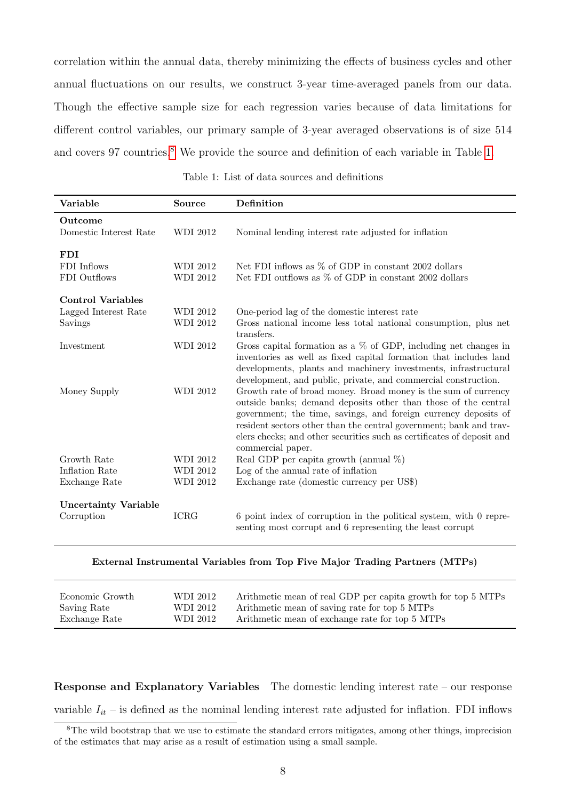correlation within the annual data, thereby minimizing the effects of business cycles and other annual fluctuations on our results, we construct 3-year time-averaged panels from our data. Though the effective sample size for each regression varies because of data limitations for different control variables, our primary sample of 3-year averaged observations is of size 514 and covers 97 countries.<sup>[8](#page-7-0)</sup> We provide the source and definition of each variable in Table [1.](#page-7-1)

Table 1: List of data sources and definitions

<span id="page-7-1"></span>

| Variable                                                    | Source                      | Definition                                                                                                                                                                                                                                                                                                                                                               |
|-------------------------------------------------------------|-----------------------------|--------------------------------------------------------------------------------------------------------------------------------------------------------------------------------------------------------------------------------------------------------------------------------------------------------------------------------------------------------------------------|
| Outcome<br>Domestic Interest Rate                           | <b>WDI 2012</b>             | Nominal lending interest rate adjusted for inflation                                                                                                                                                                                                                                                                                                                     |
| <b>FDI</b><br>FDI Inflows<br>FDI Outflows                   | WDI 2012<br><b>WDI 2012</b> | Net FDI inflows as $\%$ of GDP in constant 2002 dollars<br>Net FDI outflows as % of GDP in constant 2002 dollars                                                                                                                                                                                                                                                         |
| <b>Control Variables</b><br>Lagged Interest Rate<br>Savings | WDI 2012<br>WDI 2012        | One-period lag of the domestic interest rate<br>Gross national income less total national consumption, plus net<br>transfers.                                                                                                                                                                                                                                            |
| Investment                                                  | WDI 2012                    | Gross capital formation as a $\%$ of GDP, including net changes in<br>inventories as well as fixed capital formation that includes land<br>developments, plants and machinery investments, infrastructural<br>development, and public, private, and commercial construction.                                                                                             |
| Money Supply                                                | <b>WDI 2012</b>             | Growth rate of broad money. Broad money is the sum of currency<br>outside banks; demand deposits other than those of the central<br>government; the time, savings, and foreign currency deposits of<br>resident sectors other than the central government; bank and trav-<br>elers checks; and other securities such as certificates of deposit and<br>commercial paper. |
| Growth Rate                                                 | <b>WDI 2012</b>             | Real GDP per capita growth (annual $\%$ )                                                                                                                                                                                                                                                                                                                                |
| Inflation Rate                                              | <b>WDI 2012</b>             | Log of the annual rate of inflation                                                                                                                                                                                                                                                                                                                                      |
| Exchange Rate                                               | <b>WDI 2012</b>             | Exchange rate (domestic currency per US\$)                                                                                                                                                                                                                                                                                                                               |
| <b>Uncertainty Variable</b><br>Corruption                   | <b>ICRG</b>                 | 6 point index of corruption in the political system, with 0 repre-<br>senting most corrupt and 6 representing the least corrupt                                                                                                                                                                                                                                          |

#### External Instrumental Variables from Top Five Major Trading Partners (MTPs)

| Economic Growth | WDI 2012 | Arithmetic mean of real GDP per capita growth for top 5 MTPs |
|-----------------|----------|--------------------------------------------------------------|
| Saving Rate     | WDI 2012 | Arithmetic mean of saving rate for top 5 MTPs                |
| Exchange Rate   | WDI 2012 | Arithmetic mean of exchange rate for top 5 MTPs              |

Response and Explanatory Variables The domestic lending interest rate – our response variable  $I_{it}$  – is defined as the nominal lending interest rate adjusted for inflation. FDI inflows

<span id="page-7-0"></span><sup>&</sup>lt;sup>8</sup>The wild bootstrap that we use to estimate the standard errors mitigates, among other things, imprecision of the estimates that may arise as a result of estimation using a small sample.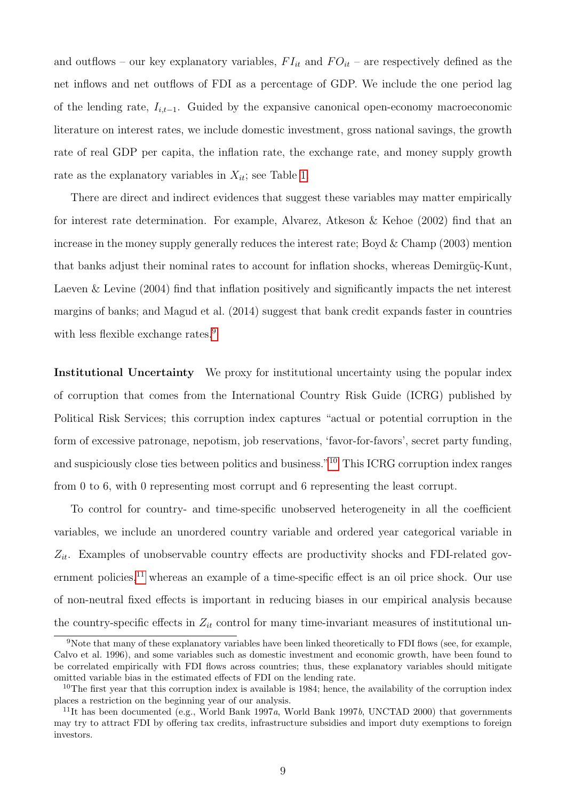and outflows – our key explanatory variables,  $FI_{it}$  and  $FO_{it}$  – are respectively defined as the net inflows and net outflows of FDI as a percentage of GDP. We include the one period lag of the lending rate,  $I_{i,t-1}$ . Guided by the expansive canonical open-economy macroeconomic literature on interest rates, we include domestic investment, gross national savings, the growth rate of real GDP per capita, the inflation rate, the exchange rate, and money supply growth rate as the explanatory variables in  $X_{it}$ ; see Table [1.](#page-7-1)

There are direct and indirect evidences that suggest these variables may matter empirically for interest rate determination. For example, Alvarez, Atkeson & Kehoe (2002) find that an increase in the money supply generally reduces the interest rate; Boyd & Champ (2003) mention that banks adjust their nominal rates to account for inflation shocks, whereas Demirgüç-Kunt, Laeven & Levine (2004) find that inflation positively and significantly impacts the net interest margins of banks; and Magud et al. (2014) suggest that bank credit expands faster in countries with less flexible exchange rates.<sup>[9](#page-8-0)</sup>

Institutional Uncertainty We proxy for institutional uncertainty using the popular index of corruption that comes from the International Country Risk Guide (ICRG) published by Political Risk Services; this corruption index captures "actual or potential corruption in the form of excessive patronage, nepotism, job reservations, 'favor-for-favors', secret party funding, and suspiciously close ties between politics and business."[10](#page-8-1) This ICRG corruption index ranges from 0 to 6, with 0 representing most corrupt and 6 representing the least corrupt.

To control for country- and time-specific unobserved heterogeneity in all the coefficient variables, we include an unordered country variable and ordered year categorical variable in  $Z_{it}$ . Examples of unobservable country effects are productivity shocks and FDI-related gov-ernment policies,<sup>[11](#page-8-2)</sup> whereas an example of a time-specific effect is an oil price shock. Our use of non-neutral fixed effects is important in reducing biases in our empirical analysis because the country-specific effects in  $Z_{it}$  control for many time-invariant measures of institutional un-

<span id="page-8-0"></span><sup>&</sup>lt;sup>9</sup>Note that many of these explanatory variables have been linked theoretically to FDI flows (see, for example, Calvo et al. 1996), and some variables such as domestic investment and economic growth, have been found to be correlated empirically with FDI flows across countries; thus, these explanatory variables should mitigate omitted variable bias in the estimated effects of FDI on the lending rate.

<span id="page-8-1"></span><sup>&</sup>lt;sup>10</sup>The first year that this corruption index is available is 1984; hence, the availability of the corruption index places a restriction on the beginning year of our analysis.

<span id="page-8-2"></span><sup>&</sup>lt;sup>11</sup>It has been documented (e.g., World Bank 1997*a*, World Bank 1997*b*, UNCTAD 2000) that governments may try to attract FDI by offering tax credits, infrastructure subsidies and import duty exemptions to foreign investors.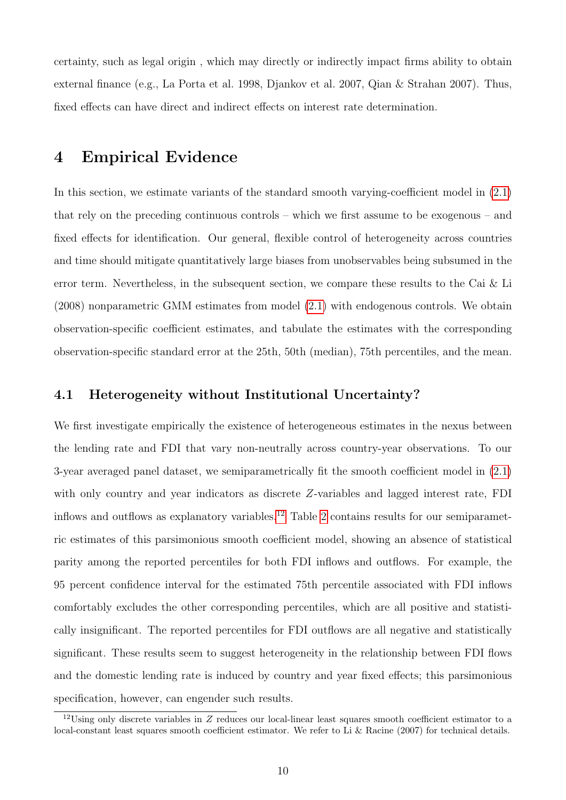certainty, such as legal origin , which may directly or indirectly impact firms ability to obtain external finance (e.g., La Porta et al. 1998, Djankov et al. 2007, Qian & Strahan 2007). Thus, fixed effects can have direct and indirect effects on interest rate determination.

### 4 Empirical Evidence

In this section, we estimate variants of the standard smooth varying-coefficient model in  $(2.1)$ that rely on the preceding continuous controls – which we first assume to be exogenous – and fixed effects for identification. Our general, flexible control of heterogeneity across countries and time should mitigate quantitatively large biases from unobservables being subsumed in the error term. Nevertheless, in the subsequent section, we compare these results to the Cai & Li (2008) nonparametric GMM estimates from model [\(2.1\)](#page-6-1) with endogenous controls. We obtain observation-specific coefficient estimates, and tabulate the estimates with the corresponding observation-specific standard error at the 25th, 50th (median), 75th percentiles, and the mean.

### 4.1 Heterogeneity without Institutional Uncertainty?

We first investigate empirically the existence of heterogeneous estimates in the nexus between the lending rate and FDI that vary non-neutrally across country-year observations. To our 3-year averaged panel dataset, we semiparametrically fit the smooth coefficient model in [\(2.1\)](#page-6-1) with only country and year indicators as discrete Z-variables and lagged interest rate, FDI inflows and outflows as explanatory variables.<sup>[12](#page-9-0)</sup> Table [2](#page-10-0) contains results for our semiparametric estimates of this parsimonious smooth coefficient model, showing an absence of statistical parity among the reported percentiles for both FDI inflows and outflows. For example, the 95 percent confidence interval for the estimated 75th percentile associated with FDI inflows comfortably excludes the other corresponding percentiles, which are all positive and statistically insignificant. The reported percentiles for FDI outflows are all negative and statistically significant. These results seem to suggest heterogeneity in the relationship between FDI flows and the domestic lending rate is induced by country and year fixed effects; this parsimonious specification, however, can engender such results.

<span id="page-9-0"></span><sup>12</sup>Using only discrete variables in Z reduces our local-linear least squares smooth coefficient estimator to a local-constant least squares smooth coefficient estimator. We refer to Li & Racine (2007) for technical details.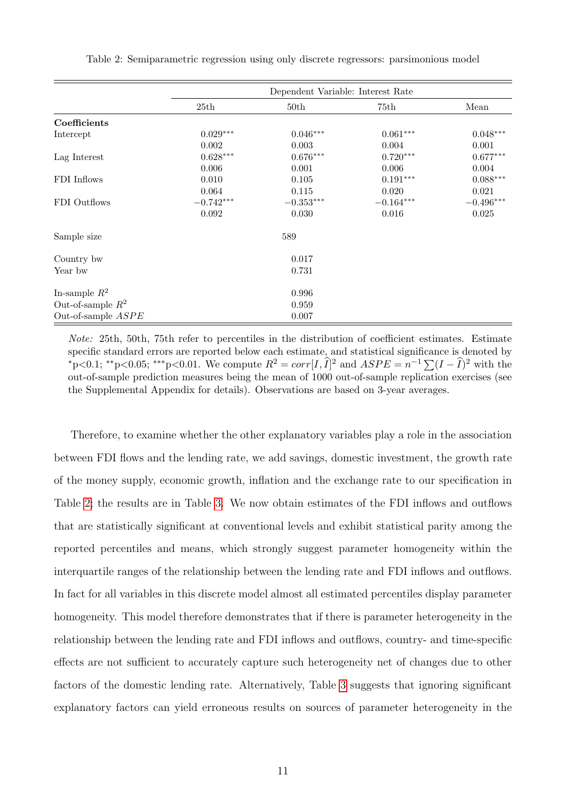<span id="page-10-0"></span>

|                      | Dependent Variable: Interest Rate |                  |             |                        |
|----------------------|-----------------------------------|------------------|-------------|------------------------|
|                      | 25th                              | 50 <sub>th</sub> | 75th        | Mean                   |
| Coefficients         |                                   |                  |             |                        |
| Intercept            | $0.029***$                        | $0.046***$       | $0.061***$  | $0.048^{\ast\ast\ast}$ |
|                      | 0.002                             | 0.003            | 0.004       | 0.001                  |
| Lag Interest         | $0.628***$                        | $0.676***$       | $0.720***$  | $0.677***$             |
|                      | 0.006                             | 0.001            | 0.006       | 0.004                  |
| FDI Inflows          | 0.010                             | 0.105            | $0.191***$  | $0.088^{***}\,$        |
|                      | 0.064                             | 0.115            | 0.020       | 0.021                  |
| FDI Outflows         | $-0.742***$                       | $-0.353***$      | $-0.164***$ | $-0.496***$            |
|                      | 0.092                             | 0.030            | 0.016       | 0.025                  |
| Sample size          |                                   | 589              |             |                        |
| Country bw           |                                   | 0.017            |             |                        |
| Year bw              |                                   | 0.731            |             |                        |
| In-sample $R^2$      |                                   | 0.996            |             |                        |
| Out-of-sample $R^2$  |                                   | 0.959            |             |                        |
| Out-of-sample $ASPE$ |                                   | 0.007            |             |                        |

Table 2: Semiparametric regression using only discrete regressors: parsimonious model

Note: 25th, 50th, 75th refer to percentiles in the distribution of coefficient estimates. Estimate specific standard errors are reported below each estimate, and statistical significance is denoted by \*p<0.1; \*\*p<0.05; \*\*\*p<0.01. We compute  $R^2 = corr[I, \hat{I}]^2$  and  $ASPE = n^{-1} \sum (I - \hat{I})^2$  with the out-of-sample prediction measures being the mean of 1000 out-of-sample replication exercises (see the Supplemental Appendix for details). Observations are based on 3-year averages.

Therefore, to examine whether the other explanatory variables play a role in the association between FDI flows and the lending rate, we add savings, domestic investment, the growth rate of the money supply, economic growth, inflation and the exchange rate to our specification in Table [2;](#page-10-0) the results are in Table [3.](#page-11-0) We now obtain estimates of the FDI inflows and outflows that are statistically significant at conventional levels and exhibit statistical parity among the reported percentiles and means, which strongly suggest parameter homogeneity within the interquartile ranges of the relationship between the lending rate and FDI inflows and outflows. In fact for all variables in this discrete model almost all estimated percentiles display parameter homogeneity. This model therefore demonstrates that if there is parameter heterogeneity in the relationship between the lending rate and FDI inflows and outflows, country- and time-specific effects are not sufficient to accurately capture such heterogeneity net of changes due to other factors of the domestic lending rate. Alternatively, Table [3](#page-11-0) suggests that ignoring significant explanatory factors can yield erroneous results on sources of parameter heterogeneity in the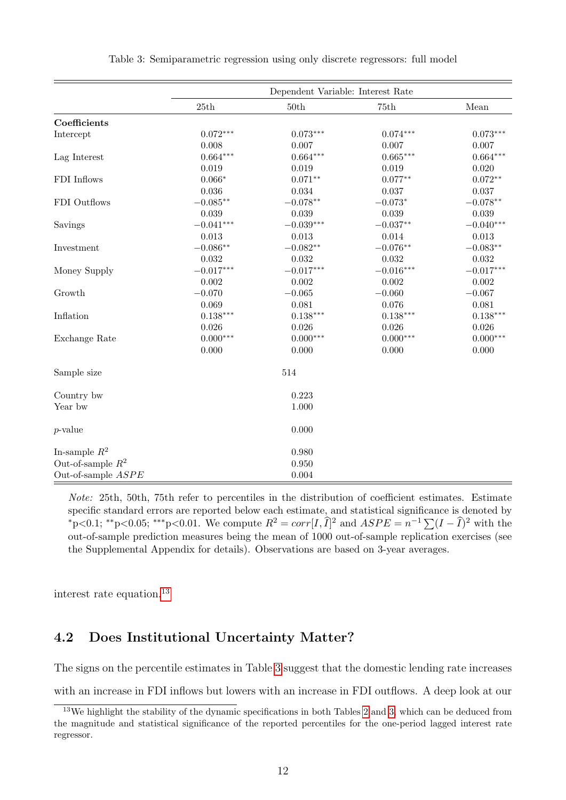<span id="page-11-0"></span>

|                      | Dependent Variable: Interest Rate |             |                     |             |
|----------------------|-----------------------------------|-------------|---------------------|-------------|
|                      | $25\mathrm{th}$                   | 50th        | $75\mathrm{th}$     | Mean        |
| Coefficients         |                                   |             |                     |             |
| Intercept            | $0.072***$                        | $0.073***$  | $0.074***$          | $0.073***$  |
|                      | 0.008                             | 0.007       | 0.007               | 0.007       |
| Lag Interest         | $0.664***$                        | $0.664***$  | $0.665***$          | $0.664***$  |
|                      | 0.019                             | 0.019       | 0.019               | 0.020       |
| FDI Inflows          | $0.066*$                          | $0.071**$   | $0.077**$           | $0.072**$   |
|                      | 0.036                             | 0.034       | 0.037               | 0.037       |
| FDI Outflows         | $-0.085**$                        | $-0.078**$  | $-0.073*$           | $-0.078**$  |
|                      | 0.039                             | 0.039       | 0.039               | 0.039       |
| Savings              | $-0.041***$                       | $-0.039***$ | $-0.037^{\ast\ast}$ | $-0.040***$ |
|                      | 0.013                             | 0.013       | 0.014               | 0.013       |
| Investment           | $-0.086**$                        | $-0.082**$  | $-0.076**$          | $-0.083**$  |
|                      | 0.032                             | 0.032       | 0.032               | 0.032       |
| Money Supply         | $-0.017***$                       | $-0.017***$ | $-0.016***$         | $-0.017***$ |
|                      | 0.002                             | 0.002       | 0.002               | 0.002       |
| Growth               | $-0.070$                          | $-0.065$    | $-0.060$            | $-0.067$    |
|                      | 0.069                             | 0.081       | 0.076               | 0.081       |
| Inflation            | $0.138***$                        | $0.138***$  | $0.138***$          | $0.138***$  |
|                      | 0.026                             | 0.026       | 0.026               | 0.026       |
| Exchange Rate        | $0.000***$                        | $0.000***$  | $0.000***$          | $0.000***$  |
|                      | 0.000                             | 0.000       | 0.000               | 0.000       |
| Sample size          |                                   | 514         |                     |             |
| Country bw           |                                   | 0.223       |                     |             |
| Year bw              |                                   | 1.000       |                     |             |
| $p$ -value           |                                   | 0.000       |                     |             |
| In-sample $R^2$      |                                   | 0.980       |                     |             |
| Out-of-sample $R^2$  |                                   | 0.950       |                     |             |
| Out-of-sample $ASPE$ |                                   | 0.004       |                     |             |

Table 3: Semiparametric regression using only discrete regressors: full model

Note: 25th, 50th, 75th refer to percentiles in the distribution of coefficient estimates. Estimate specific standard errors are reported below each estimate, and statistical significance is denoted by \*p<0.1; \*\*p<0.05; \*\*\*p<0.01. We compute  $R^2 = corr[I, \hat{I}]^2$  and  $ASPE = n^{-1} \sum (I - \hat{I})^2$  with the out-of-sample prediction measures being the mean of 1000 out-of-sample replication exercises (see the Supplemental Appendix for details). Observations are based on 3-year averages.

interest rate equation.[13](#page-11-1)

### 4.2 Does Institutional Uncertainty Matter?

The signs on the percentile estimates in Table [3](#page-11-0) suggest that the domestic lending rate increases

with an increase in FDI inflows but lowers with an increase in FDI outflows. A deep look at our

<span id="page-11-1"></span><sup>&</sup>lt;sup>13</sup>We highlight the stability of the dynamic specifications in both Tables [2](#page-10-0) and [3,](#page-11-0) which can be deduced from the magnitude and statistical significance of the reported percentiles for the one-period lagged interest rate regressor.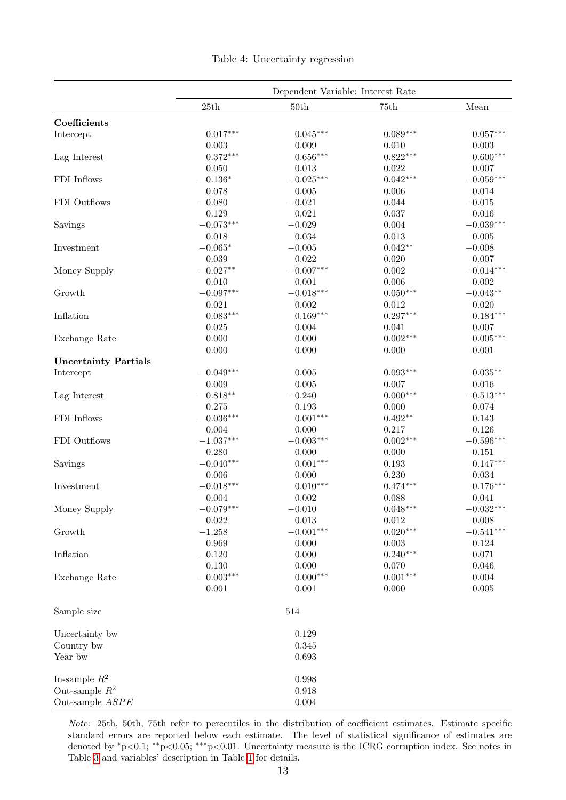<span id="page-12-0"></span>

|                             | Dependent Variable: Interest Rate |             |             |             |
|-----------------------------|-----------------------------------|-------------|-------------|-------------|
|                             | 25th                              | 50th        | 75th        | Mean        |
| Coefficients                |                                   |             |             |             |
| Intercept                   | $0.017***$                        | $0.045***$  | $0.089***$  | $0.057***$  |
|                             | 0.003                             | 0.009       | 0.010       | 0.003       |
| Lag Interest                | $0.372***$                        | $0.656***$  | $0.822***$  | $0.600***$  |
|                             | 0.050                             | 0.013       | 0.022       | 0.007       |
| FDI Inflows                 | $-0.136*$                         | $-0.025***$ | $0.042***$  | $-0.059***$ |
|                             | 0.078                             | 0.005       | 0.006       | 0.014       |
| FDI Outflows                | $-0.080$                          | $-0.021$    | 0.044       | $-0.015$    |
|                             | 0.129                             | 0.021       | 0.037       | 0.016       |
| Savings                     | $-0.073***$                       | $-0.029$    | 0.004       | $-0.039***$ |
|                             | 0.018                             | 0.034       | 0.013       | 0.005       |
| Investment                  | $-0.065*$                         | $-0.005$    | $0.042**$   | $-0.008$    |
|                             | 0.039                             | 0.022       | 0.020       | 0.007       |
| Money Supply                | $-0.027**$                        | $-0.007***$ | 0.002       | $-0.014***$ |
|                             | 0.010                             | 0.001       | 0.006       | 0.002       |
| Growth                      | $-0.097***$                       | $-0.018***$ | $0.050***$  | $-0.043**$  |
|                             | 0.021                             | 0.002       | 0.012       | 0.020       |
| Inflation                   | $0.083***$                        | $0.169***$  | $0.297***$  | $0.184***$  |
|                             | 0.025                             | 0.004       | 0.041       | 0.007       |
| Exchange Rate               | 0.000                             | 0.000       | $0.002***$  | $0.005***$  |
|                             | 0.000                             | 0.000       | 0.000       | 0.001       |
| <b>Uncertainty Partials</b> |                                   |             |             |             |
| Intercept                   | $-0.049***$                       | 0.005       | $0.093***$  | $0.035**$   |
|                             | 0.009                             | 0.005       | 0.007       | 0.016       |
| Lag Interest                | $-0.818**$                        | $-0.240$    | $0.000***$  | $-0.513***$ |
|                             | 0.275                             | 0.193       | 0.000       | 0.074       |
| FDI Inflows                 | $-0.036***$                       | $0.001***$  | $0.492**$   | 0.143       |
|                             | 0.004                             | 0.000       | 0.217       | 0.126       |
| FDI Outflows                | $-1.037***$                       | $-0.003***$ | $0.002***$  | $-0.596***$ |
|                             | 0.280                             | 0.000       | 0.000       | 0.151       |
| Savings                     | $-0.040***$                       | $0.001***$  | 0.193       | $0.147***$  |
|                             | 0.006                             | 0.000       | 0.230       | 0.034       |
| Investment                  | $-0.018***$                       | $0.010***$  | $0.474***$  | $0.176***$  |
|                             | 0.004                             | $0.002\,$   | 0.088       | 0.041       |
| Money Supply                | $-0.079***$                       | $-0.010$    | $0.048***$  | $-0.032***$ |
|                             | $\,0.022\,$                       | 0.013       | $\,0.012\,$ | 0.008       |
| Growth                      | $-1.258$                          | $-0.001***$ | $0.020***$  | $-0.541***$ |
|                             | 0.969                             | 0.000       | 0.003       | 0.124       |
| Inflation                   | $-0.120$                          | 0.000       | $0.240***$  | 0.071       |
|                             | 0.130                             | 0.000       | 0.070       | 0.046       |
| Exchange Rate               | $-0.003***$                       | $0.000***$  | $0.001***$  | $0.004\,$   |
|                             | 0.001                             | 0.001       | 0.000       | $0.005\,$   |
| Sample size                 |                                   | 514         |             |             |
| Uncertainty bw              |                                   | 0.129       |             |             |
| Country bw                  |                                   | 0.345       |             |             |
| Year bw                     |                                   | 0.693       |             |             |
| In-sample $\mathbb{R}^2$    |                                   | 0.998       |             |             |
| Out-sample $R^2$            |                                   | 0.918       |             |             |
| Out-sample ASPE             |                                   | 0.004       |             |             |

Note: 25th, 50th, 75th refer to percentiles in the distribution of coefficient estimates. Estimate specific standard errors are reported below each estimate. The level of statistical significance of estimates are denoted by <sup>∗</sup>p<0.1; ∗∗p<0.05; ∗∗∗p<0.01. Uncertainty measure is the ICRG corruption index. See notes in Table [3](#page-11-0) and variables' description in Table [1](#page-7-1) for details.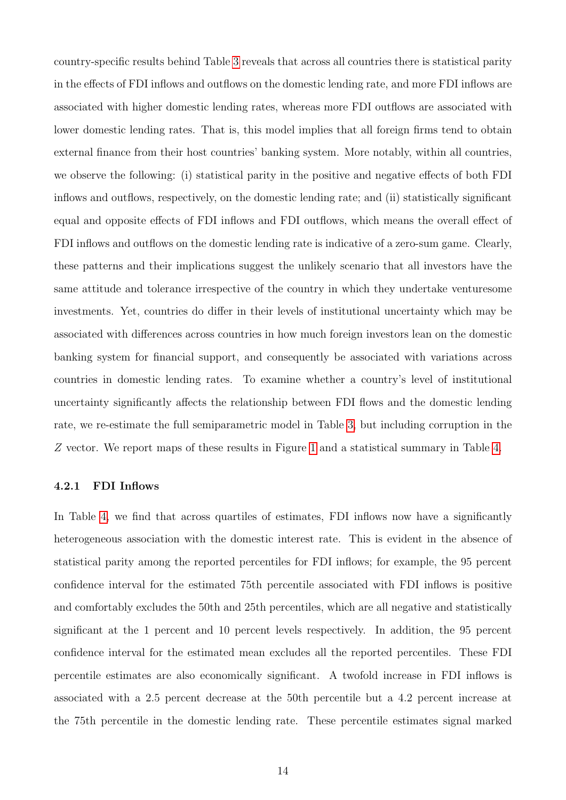country-specific results behind Table [3](#page-11-0) reveals that across all countries there is statistical parity in the effects of FDI inflows and outflows on the domestic lending rate, and more FDI inflows are associated with higher domestic lending rates, whereas more FDI outflows are associated with lower domestic lending rates. That is, this model implies that all foreign firms tend to obtain external finance from their host countries' banking system. More notably, within all countries, we observe the following: (i) statistical parity in the positive and negative effects of both FDI inflows and outflows, respectively, on the domestic lending rate; and (ii) statistically significant equal and opposite effects of FDI inflows and FDI outflows, which means the overall effect of FDI inflows and outflows on the domestic lending rate is indicative of a zero-sum game. Clearly, these patterns and their implications suggest the unlikely scenario that all investors have the same attitude and tolerance irrespective of the country in which they undertake venturesome investments. Yet, countries do differ in their levels of institutional uncertainty which may be associated with differences across countries in how much foreign investors lean on the domestic banking system for financial support, and consequently be associated with variations across countries in domestic lending rates. To examine whether a country's level of institutional uncertainty significantly affects the relationship between FDI flows and the domestic lending rate, we re-estimate the full semiparametric model in Table [3,](#page-11-0) but including corruption in the Z vector. We report maps of these results in Figure [1](#page-17-0) and a statistical summary in Table [4.](#page-12-0)

### 4.2.1 FDI Inflows

In Table [4,](#page-12-0) we find that across quartiles of estimates, FDI inflows now have a significantly heterogeneous association with the domestic interest rate. This is evident in the absence of statistical parity among the reported percentiles for FDI inflows; for example, the 95 percent confidence interval for the estimated 75th percentile associated with FDI inflows is positive and comfortably excludes the 50th and 25th percentiles, which are all negative and statistically significant at the 1 percent and 10 percent levels respectively. In addition, the 95 percent confidence interval for the estimated mean excludes all the reported percentiles. These FDI percentile estimates are also economically significant. A twofold increase in FDI inflows is associated with a 2.5 percent decrease at the 50th percentile but a 4.2 percent increase at the 75th percentile in the domestic lending rate. These percentile estimates signal marked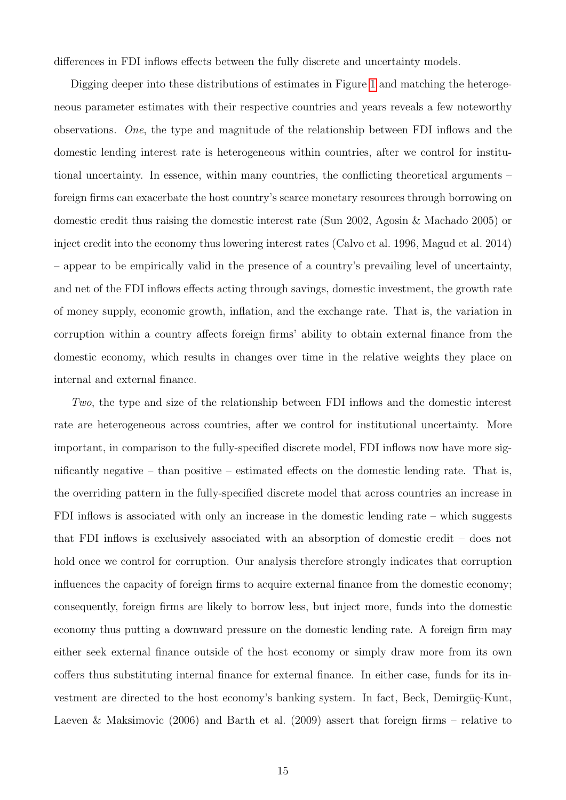differences in FDI inflows effects between the fully discrete and uncertainty models.

Digging deeper into these distributions of estimates in Figure [1](#page-17-0) and matching the heterogeneous parameter estimates with their respective countries and years reveals a few noteworthy observations. One, the type and magnitude of the relationship between FDI inflows and the domestic lending interest rate is heterogeneous within countries, after we control for institutional uncertainty. In essence, within many countries, the conflicting theoretical arguments – foreign firms can exacerbate the host country's scarce monetary resources through borrowing on domestic credit thus raising the domestic interest rate (Sun 2002, Agosin & Machado 2005) or inject credit into the economy thus lowering interest rates (Calvo et al. 1996, Magud et al. 2014) – appear to be empirically valid in the presence of a country's prevailing level of uncertainty, and net of the FDI inflows effects acting through savings, domestic investment, the growth rate of money supply, economic growth, inflation, and the exchange rate. That is, the variation in corruption within a country affects foreign firms' ability to obtain external finance from the domestic economy, which results in changes over time in the relative weights they place on internal and external finance.

Two, the type and size of the relationship between FDI inflows and the domestic interest rate are heterogeneous across countries, after we control for institutional uncertainty. More important, in comparison to the fully-specified discrete model, FDI inflows now have more significantly negative – than positive – estimated effects on the domestic lending rate. That is, the overriding pattern in the fully-specified discrete model that across countries an increase in FDI inflows is associated with only an increase in the domestic lending rate – which suggests that FDI inflows is exclusively associated with an absorption of domestic credit – does not hold once we control for corruption. Our analysis therefore strongly indicates that corruption influences the capacity of foreign firms to acquire external finance from the domestic economy; consequently, foreign firms are likely to borrow less, but inject more, funds into the domestic economy thus putting a downward pressure on the domestic lending rate. A foreign firm may either seek external finance outside of the host economy or simply draw more from its own coffers thus substituting internal finance for external finance. In either case, funds for its investment are directed to the host economy's banking system. In fact, Beck, Demirgüç-Kunt, Laeven & Maksimovic (2006) and Barth et al. (2009) assert that foreign firms – relative to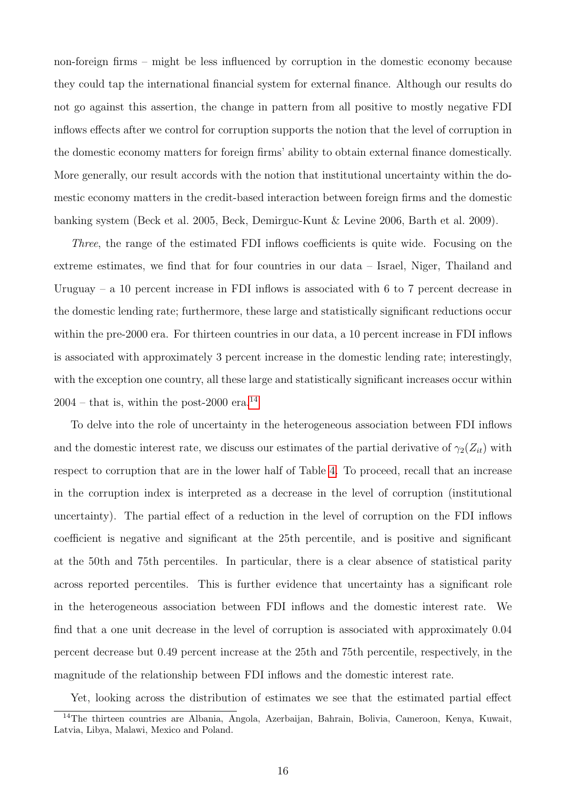non-foreign firms – might be less influenced by corruption in the domestic economy because they could tap the international financial system for external finance. Although our results do not go against this assertion, the change in pattern from all positive to mostly negative FDI inflows effects after we control for corruption supports the notion that the level of corruption in the domestic economy matters for foreign firms' ability to obtain external finance domestically. More generally, our result accords with the notion that institutional uncertainty within the domestic economy matters in the credit-based interaction between foreign firms and the domestic banking system (Beck et al. 2005, Beck, Demirguc-Kunt & Levine 2006, Barth et al. 2009).

Three, the range of the estimated FDI inflows coefficients is quite wide. Focusing on the extreme estimates, we find that for four countries in our data – Israel, Niger, Thailand and Uruguay – a 10 percent increase in FDI inflows is associated with 6 to 7 percent decrease in the domestic lending rate; furthermore, these large and statistically significant reductions occur within the pre-2000 era. For thirteen countries in our data, a 10 percent increase in FDI inflows is associated with approximately 3 percent increase in the domestic lending rate; interestingly, with the exception one country, all these large and statistically significant increases occur within  $2004$  – that is, within the post-2000 era.<sup>[14](#page-15-0)</sup>

To delve into the role of uncertainty in the heterogeneous association between FDI inflows and the domestic interest rate, we discuss our estimates of the partial derivative of  $\gamma_2(Z_{it})$  with respect to corruption that are in the lower half of Table [4.](#page-12-0) To proceed, recall that an increase in the corruption index is interpreted as a decrease in the level of corruption (institutional uncertainty). The partial effect of a reduction in the level of corruption on the FDI inflows coefficient is negative and significant at the 25th percentile, and is positive and significant at the 50th and 75th percentiles. In particular, there is a clear absence of statistical parity across reported percentiles. This is further evidence that uncertainty has a significant role in the heterogeneous association between FDI inflows and the domestic interest rate. We find that a one unit decrease in the level of corruption is associated with approximately 0.04 percent decrease but 0.49 percent increase at the 25th and 75th percentile, respectively, in the magnitude of the relationship between FDI inflows and the domestic interest rate.

<span id="page-15-0"></span>Yet, looking across the distribution of estimates we see that the estimated partial effect <sup>14</sup>The thirteen countries are Albania, Angola, Azerbaijan, Bahrain, Bolivia, Cameroon, Kenya, Kuwait, Latvia, Libya, Malawi, Mexico and Poland.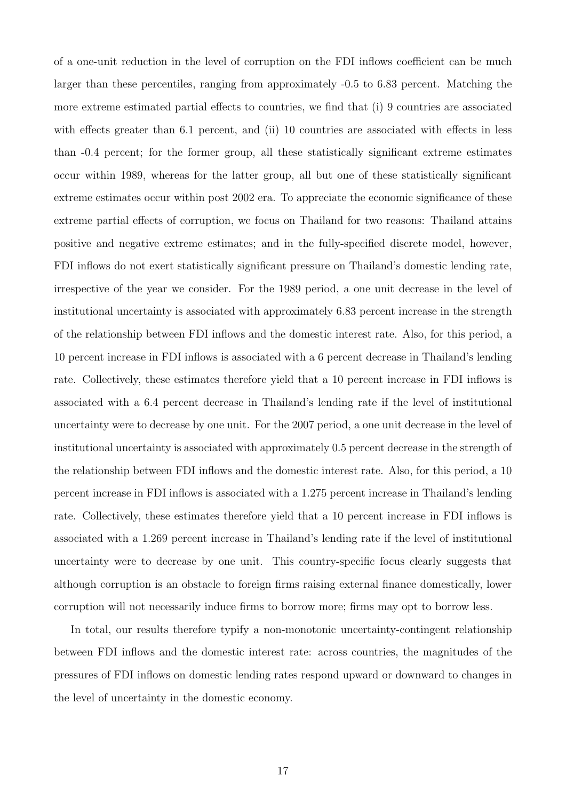of a one-unit reduction in the level of corruption on the FDI inflows coefficient can be much larger than these percentiles, ranging from approximately -0.5 to 6.83 percent. Matching the more extreme estimated partial effects to countries, we find that (i) 9 countries are associated with effects greater than 6.1 percent, and (ii) 10 countries are associated with effects in less than -0.4 percent; for the former group, all these statistically significant extreme estimates occur within 1989, whereas for the latter group, all but one of these statistically significant extreme estimates occur within post 2002 era. To appreciate the economic significance of these extreme partial effects of corruption, we focus on Thailand for two reasons: Thailand attains positive and negative extreme estimates; and in the fully-specified discrete model, however, FDI inflows do not exert statistically significant pressure on Thailand's domestic lending rate, irrespective of the year we consider. For the 1989 period, a one unit decrease in the level of institutional uncertainty is associated with approximately 6.83 percent increase in the strength of the relationship between FDI inflows and the domestic interest rate. Also, for this period, a 10 percent increase in FDI inflows is associated with a 6 percent decrease in Thailand's lending rate. Collectively, these estimates therefore yield that a 10 percent increase in FDI inflows is associated with a 6.4 percent decrease in Thailand's lending rate if the level of institutional uncertainty were to decrease by one unit. For the 2007 period, a one unit decrease in the level of institutional uncertainty is associated with approximately 0.5 percent decrease in the strength of the relationship between FDI inflows and the domestic interest rate. Also, for this period, a 10 percent increase in FDI inflows is associated with a 1.275 percent increase in Thailand's lending rate. Collectively, these estimates therefore yield that a 10 percent increase in FDI inflows is associated with a 1.269 percent increase in Thailand's lending rate if the level of institutional uncertainty were to decrease by one unit. This country-specific focus clearly suggests that although corruption is an obstacle to foreign firms raising external finance domestically, lower corruption will not necessarily induce firms to borrow more; firms may opt to borrow less.

In total, our results therefore typify a non-monotonic uncertainty-contingent relationship between FDI inflows and the domestic interest rate: across countries, the magnitudes of the pressures of FDI inflows on domestic lending rates respond upward or downward to changes in the level of uncertainty in the domestic economy.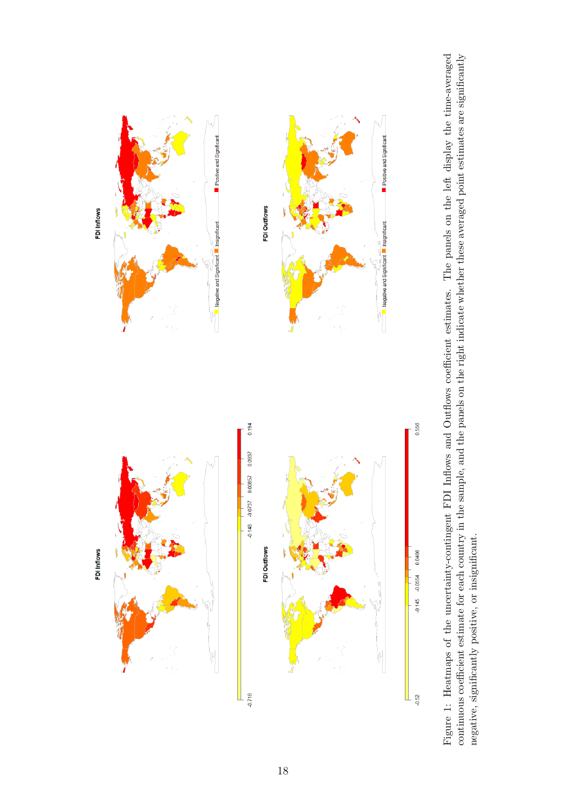

<span id="page-17-0"></span>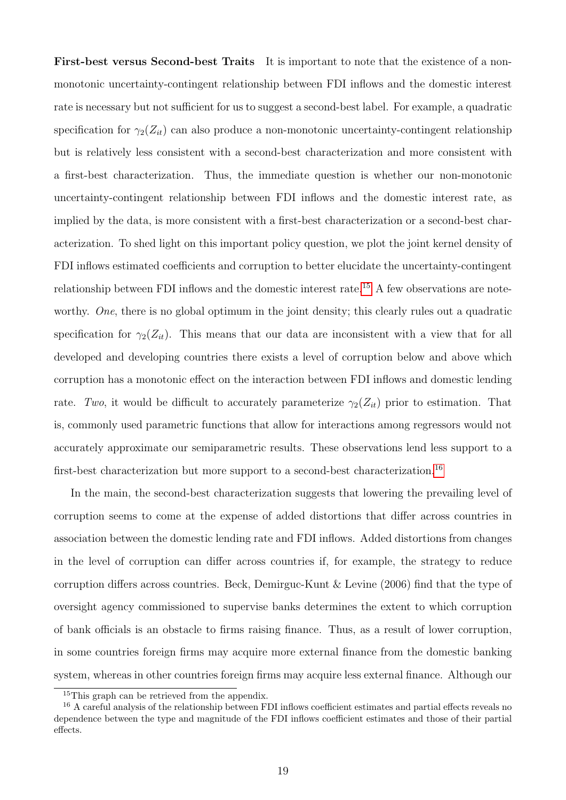First-best versus Second-best Traits It is important to note that the existence of a nonmonotonic uncertainty-contingent relationship between FDI inflows and the domestic interest rate is necessary but not sufficient for us to suggest a second-best label. For example, a quadratic specification for  $\gamma_2(Z_{it})$  can also produce a non-monotonic uncertainty-contingent relationship but is relatively less consistent with a second-best characterization and more consistent with a first-best characterization. Thus, the immediate question is whether our non-monotonic uncertainty-contingent relationship between FDI inflows and the domestic interest rate, as implied by the data, is more consistent with a first-best characterization or a second-best characterization. To shed light on this important policy question, we plot the joint kernel density of FDI inflows estimated coefficients and corruption to better elucidate the uncertainty-contingent relationship between FDI inflows and the domestic interest rate.<sup>[15](#page-18-0)</sup> A few observations are noteworthy. One, there is no global optimum in the joint density; this clearly rules out a quadratic specification for  $\gamma_2(Z_{it})$ . This means that our data are inconsistent with a view that for all developed and developing countries there exists a level of corruption below and above which corruption has a monotonic effect on the interaction between FDI inflows and domestic lending rate. Two, it would be difficult to accurately parameterize  $\gamma_2(Z_{it})$  prior to estimation. That is, commonly used parametric functions that allow for interactions among regressors would not accurately approximate our semiparametric results. These observations lend less support to a first-best characterization but more support to a second-best characterization.<sup>[16](#page-18-1)</sup>

In the main, the second-best characterization suggests that lowering the prevailing level of corruption seems to come at the expense of added distortions that differ across countries in association between the domestic lending rate and FDI inflows. Added distortions from changes in the level of corruption can differ across countries if, for example, the strategy to reduce corruption differs across countries. Beck, Demirguc-Kunt & Levine (2006) find that the type of oversight agency commissioned to supervise banks determines the extent to which corruption of bank officials is an obstacle to firms raising finance. Thus, as a result of lower corruption, in some countries foreign firms may acquire more external finance from the domestic banking system, whereas in other countries foreign firms may acquire less external finance. Although our

<span id="page-18-1"></span><span id="page-18-0"></span><sup>15</sup>This graph can be retrieved from the appendix.

<sup>&</sup>lt;sup>16</sup> A careful analysis of the relationship between FDI inflows coefficient estimates and partial effects reveals no dependence between the type and magnitude of the FDI inflows coefficient estimates and those of their partial effects.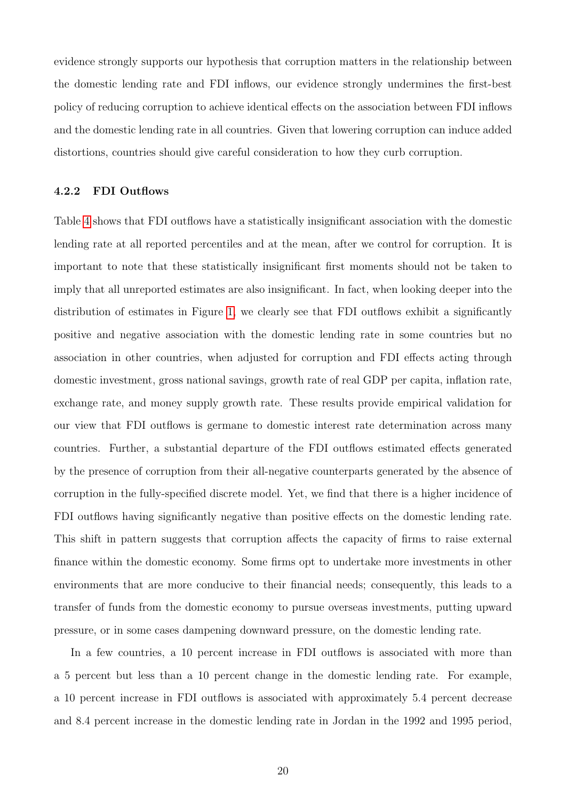evidence strongly supports our hypothesis that corruption matters in the relationship between the domestic lending rate and FDI inflows, our evidence strongly undermines the first-best policy of reducing corruption to achieve identical effects on the association between FDI inflows and the domestic lending rate in all countries. Given that lowering corruption can induce added distortions, countries should give careful consideration to how they curb corruption.

#### 4.2.2 FDI Outflows

Table [4](#page-12-0) shows that FDI outflows have a statistically insignificant association with the domestic lending rate at all reported percentiles and at the mean, after we control for corruption. It is important to note that these statistically insignificant first moments should not be taken to imply that all unreported estimates are also insignificant. In fact, when looking deeper into the distribution of estimates in Figure [1,](#page-17-0) we clearly see that FDI outflows exhibit a significantly positive and negative association with the domestic lending rate in some countries but no association in other countries, when adjusted for corruption and FDI effects acting through domestic investment, gross national savings, growth rate of real GDP per capita, inflation rate, exchange rate, and money supply growth rate. These results provide empirical validation for our view that FDI outflows is germane to domestic interest rate determination across many countries. Further, a substantial departure of the FDI outflows estimated effects generated by the presence of corruption from their all-negative counterparts generated by the absence of corruption in the fully-specified discrete model. Yet, we find that there is a higher incidence of FDI outflows having significantly negative than positive effects on the domestic lending rate. This shift in pattern suggests that corruption affects the capacity of firms to raise external finance within the domestic economy. Some firms opt to undertake more investments in other environments that are more conducive to their financial needs; consequently, this leads to a transfer of funds from the domestic economy to pursue overseas investments, putting upward pressure, or in some cases dampening downward pressure, on the domestic lending rate.

In a few countries, a 10 percent increase in FDI outflows is associated with more than a 5 percent but less than a 10 percent change in the domestic lending rate. For example, a 10 percent increase in FDI outflows is associated with approximately 5.4 percent decrease and 8.4 percent increase in the domestic lending rate in Jordan in the 1992 and 1995 period,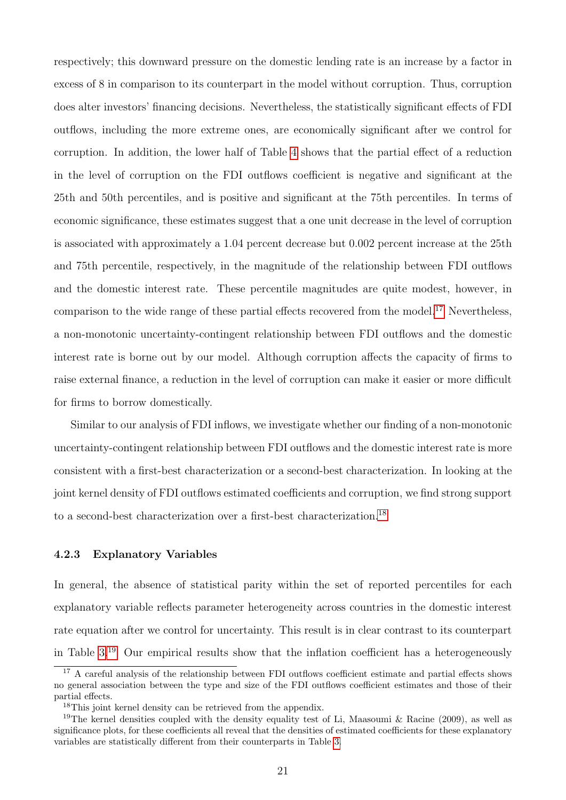respectively; this downward pressure on the domestic lending rate is an increase by a factor in excess of 8 in comparison to its counterpart in the model without corruption. Thus, corruption does alter investors' financing decisions. Nevertheless, the statistically significant effects of FDI outflows, including the more extreme ones, are economically significant after we control for corruption. In addition, the lower half of Table [4](#page-12-0) shows that the partial effect of a reduction in the level of corruption on the FDI outflows coefficient is negative and significant at the 25th and 50th percentiles, and is positive and significant at the 75th percentiles. In terms of economic significance, these estimates suggest that a one unit decrease in the level of corruption is associated with approximately a 1.04 percent decrease but 0.002 percent increase at the 25th and 75th percentile, respectively, in the magnitude of the relationship between FDI outflows and the domestic interest rate. These percentile magnitudes are quite modest, however, in comparison to the wide range of these partial effects recovered from the model.<sup>[17](#page-20-0)</sup> Nevertheless, a non-monotonic uncertainty-contingent relationship between FDI outflows and the domestic interest rate is borne out by our model. Although corruption affects the capacity of firms to raise external finance, a reduction in the level of corruption can make it easier or more difficult for firms to borrow domestically.

Similar to our analysis of FDI inflows, we investigate whether our finding of a non-monotonic uncertainty-contingent relationship between FDI outflows and the domestic interest rate is more consistent with a first-best characterization or a second-best characterization. In looking at the joint kernel density of FDI outflows estimated coefficients and corruption, we find strong support to a second-best characterization over a first-best characterization.[18](#page-20-1)

### 4.2.3 Explanatory Variables

In general, the absence of statistical parity within the set of reported percentiles for each explanatory variable reflects parameter heterogeneity across countries in the domestic interest rate equation after we control for uncertainty. This result is in clear contrast to its counterpart in Table  $3^{19}$  $3^{19}$  $3^{19}$  Our empirical results show that the inflation coefficient has a heterogeneously

<span id="page-20-0"></span><sup>&</sup>lt;sup>17</sup> A careful analysis of the relationship between FDI outflows coefficient estimate and partial effects shows no general association between the type and size of the FDI outflows coefficient estimates and those of their partial effects.

<span id="page-20-2"></span><span id="page-20-1"></span><sup>&</sup>lt;sup>18</sup>This joint kernel density can be retrieved from the appendix.

<sup>&</sup>lt;sup>19</sup>The kernel densities coupled with the density equality test of Li, Maasoumi & Racine (2009), as well as significance plots, for these coefficients all reveal that the densities of estimated coefficients for these explanatory variables are statistically different from their counterparts in Table [3.](#page-11-0)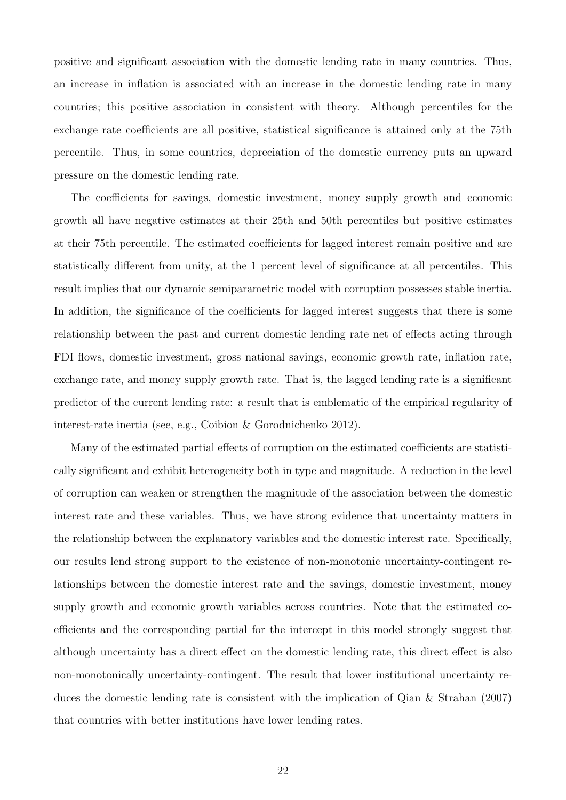positive and significant association with the domestic lending rate in many countries. Thus, an increase in inflation is associated with an increase in the domestic lending rate in many countries; this positive association in consistent with theory. Although percentiles for the exchange rate coefficients are all positive, statistical significance is attained only at the 75th percentile. Thus, in some countries, depreciation of the domestic currency puts an upward pressure on the domestic lending rate.

The coefficients for savings, domestic investment, money supply growth and economic growth all have negative estimates at their 25th and 50th percentiles but positive estimates at their 75th percentile. The estimated coefficients for lagged interest remain positive and are statistically different from unity, at the 1 percent level of significance at all percentiles. This result implies that our dynamic semiparametric model with corruption possesses stable inertia. In addition, the significance of the coefficients for lagged interest suggests that there is some relationship between the past and current domestic lending rate net of effects acting through FDI flows, domestic investment, gross national savings, economic growth rate, inflation rate, exchange rate, and money supply growth rate. That is, the lagged lending rate is a significant predictor of the current lending rate: a result that is emblematic of the empirical regularity of interest-rate inertia (see, e.g., Coibion & Gorodnichenko 2012).

Many of the estimated partial effects of corruption on the estimated coefficients are statistically significant and exhibit heterogeneity both in type and magnitude. A reduction in the level of corruption can weaken or strengthen the magnitude of the association between the domestic interest rate and these variables. Thus, we have strong evidence that uncertainty matters in the relationship between the explanatory variables and the domestic interest rate. Specifically, our results lend strong support to the existence of non-monotonic uncertainty-contingent relationships between the domestic interest rate and the savings, domestic investment, money supply growth and economic growth variables across countries. Note that the estimated coefficients and the corresponding partial for the intercept in this model strongly suggest that although uncertainty has a direct effect on the domestic lending rate, this direct effect is also non-monotonically uncertainty-contingent. The result that lower institutional uncertainty reduces the domestic lending rate is consistent with the implication of Qian & Strahan (2007) that countries with better institutions have lower lending rates.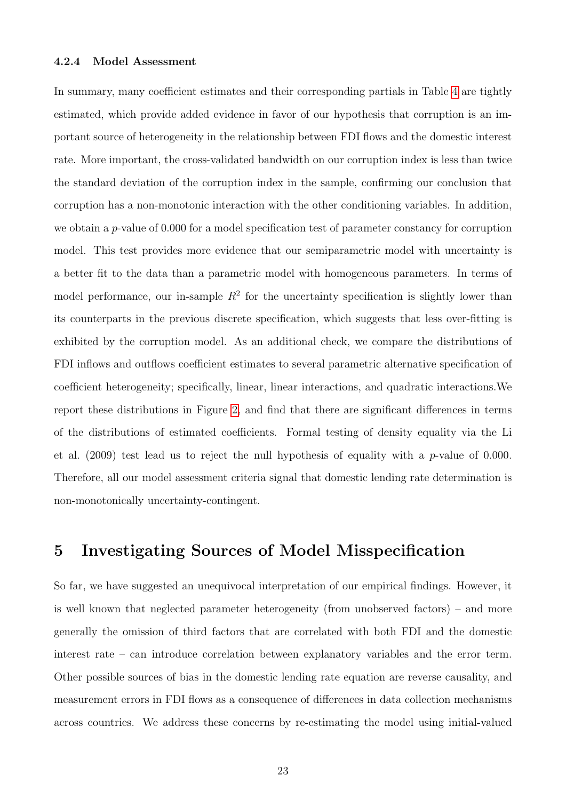#### 4.2.4 Model Assessment

In summary, many coefficient estimates and their corresponding partials in Table [4](#page-12-0) are tightly estimated, which provide added evidence in favor of our hypothesis that corruption is an important source of heterogeneity in the relationship between FDI flows and the domestic interest rate. More important, the cross-validated bandwidth on our corruption index is less than twice the standard deviation of the corruption index in the sample, confirming our conclusion that corruption has a non-monotonic interaction with the other conditioning variables. In addition, we obtain a p-value of 0.000 for a model specification test of parameter constancy for corruption model. This test provides more evidence that our semiparametric model with uncertainty is a better fit to the data than a parametric model with homogeneous parameters. In terms of model performance, our in-sample  $R^2$  for the uncertainty specification is slightly lower than its counterparts in the previous discrete specification, which suggests that less over-fitting is exhibited by the corruption model. As an additional check, we compare the distributions of FDI inflows and outflows coefficient estimates to several parametric alternative specification of coefficient heterogeneity; specifically, linear, linear interactions, and quadratic interactions.We report these distributions in Figure [2,](#page-23-0) and find that there are significant differences in terms of the distributions of estimated coefficients. Formal testing of density equality via the Li et al.  $(2009)$  test lead us to reject the null hypothesis of equality with a p-value of 0.000. Therefore, all our model assessment criteria signal that domestic lending rate determination is non-monotonically uncertainty-contingent.

## 5 Investigating Sources of Model Misspecification

So far, we have suggested an unequivocal interpretation of our empirical findings. However, it is well known that neglected parameter heterogeneity (from unobserved factors) – and more generally the omission of third factors that are correlated with both FDI and the domestic interest rate – can introduce correlation between explanatory variables and the error term. Other possible sources of bias in the domestic lending rate equation are reverse causality, and measurement errors in FDI flows as a consequence of differences in data collection mechanisms across countries. We address these concerns by re-estimating the model using initial-valued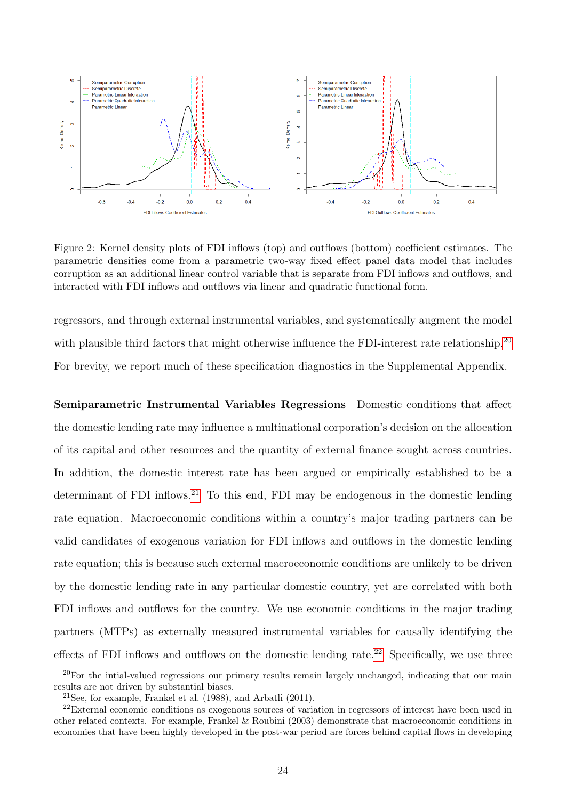<span id="page-23-0"></span>

Figure 2: Kernel density plots of FDI inflows (top) and outflows (bottom) coefficient estimates. The parametric densities come from a parametric two-way fixed effect panel data model that includes corruption as an additional linear control variable that is separate from FDI inflows and outflows, and interacted with FDI inflows and outflows via linear and quadratic functional form.

regressors, and through external instrumental variables, and systematically augment the model with plausible third factors that might otherwise influence the FDI-interest rate relationship.<sup>[20](#page-23-1)</sup> For brevity, we report much of these specification diagnostics in the Supplemental Appendix.

Semiparametric Instrumental Variables Regressions Domestic conditions that affect the domestic lending rate may influence a multinational corporation's decision on the allocation of its capital and other resources and the quantity of external finance sought across countries. In addition, the domestic interest rate has been argued or empirically established to be a determinant of FDI inflows.<sup>[21](#page-23-2)</sup> To this end, FDI may be endogenous in the domestic lending rate equation. Macroeconomic conditions within a country's major trading partners can be valid candidates of exogenous variation for FDI inflows and outflows in the domestic lending rate equation; this is because such external macroeconomic conditions are unlikely to be driven by the domestic lending rate in any particular domestic country, yet are correlated with both FDI inflows and outflows for the country. We use economic conditions in the major trading partners (MTPs) as externally measured instrumental variables for causally identifying the effects of FDI inflows and outflows on the domestic lending rate.<sup>[22](#page-23-3)</sup> Specifically, we use three

<span id="page-23-1"></span><sup>&</sup>lt;sup>20</sup>For the intial-valued regressions our primary results remain largely unchanged, indicating that our main results are not driven by substantial biases.

<span id="page-23-3"></span><span id="page-23-2"></span><sup>&</sup>lt;sup>21</sup>See, for example, Frankel et al.  $(1988)$ , and Arbatli  $(2011)$ .

<sup>&</sup>lt;sup>22</sup>External economic conditions as exogenous sources of variation in regressors of interest have been used in other related contexts. For example, Frankel & Roubini (2003) demonstrate that macroeconomic conditions in economies that have been highly developed in the post-war period are forces behind capital flows in developing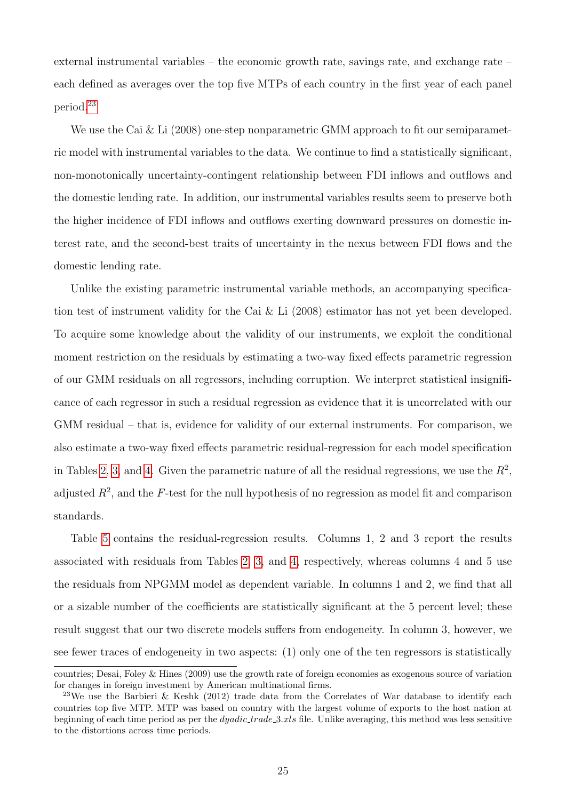external instrumental variables – the economic growth rate, savings rate, and exchange rate – each defined as averages over the top five MTPs of each country in the first year of each panel period.[23](#page-24-0)

We use the Cai & Li (2008) one-step nonparametric GMM approach to fit our semiparametric model with instrumental variables to the data. We continue to find a statistically significant, non-monotonically uncertainty-contingent relationship between FDI inflows and outflows and the domestic lending rate. In addition, our instrumental variables results seem to preserve both the higher incidence of FDI inflows and outflows exerting downward pressures on domestic interest rate, and the second-best traits of uncertainty in the nexus between FDI flows and the domestic lending rate.

Unlike the existing parametric instrumental variable methods, an accompanying specification test of instrument validity for the Cai & Li (2008) estimator has not yet been developed. To acquire some knowledge about the validity of our instruments, we exploit the conditional moment restriction on the residuals by estimating a two-way fixed effects parametric regression of our GMM residuals on all regressors, including corruption. We interpret statistical insignificance of each regressor in such a residual regression as evidence that it is uncorrelated with our GMM residual – that is, evidence for validity of our external instruments. For comparison, we also estimate a two-way fixed effects parametric residual-regression for each model specification in Tables [2,](#page-10-0) [3,](#page-11-0) and [4.](#page-12-0) Given the parametric nature of all the residual regressions, we use the  $R^2$ , adjusted  $R^2$ , and the F-test for the null hypothesis of no regression as model fit and comparison standards.

Table [5](#page-25-0) contains the residual-regression results. Columns 1, 2 and 3 report the results associated with residuals from Tables [2,](#page-10-0) [3,](#page-11-0) and [4,](#page-12-0) respectively, whereas columns 4 and 5 use the residuals from NPGMM model as dependent variable. In columns 1 and 2, we find that all or a sizable number of the coefficients are statistically significant at the 5 percent level; these result suggest that our two discrete models suffers from endogeneity. In column 3, however, we see fewer traces of endogeneity in two aspects: (1) only one of the ten regressors is statistically

countries; Desai, Foley & Hines (2009) use the growth rate of foreign economies as exogenous source of variation for changes in foreign investment by American multinational firms.

<span id="page-24-0"></span><sup>&</sup>lt;sup>23</sup>We use the Barbieri & Keshk (2012) trade data from the Correlates of War database to identify each countries top five MTP. MTP was based on country with the largest volume of exports to the host nation at beginning of each time period as per the *dyadic trade* 3.xls file. Unlike averaging, this method was less sensitive to the distortions across time periods.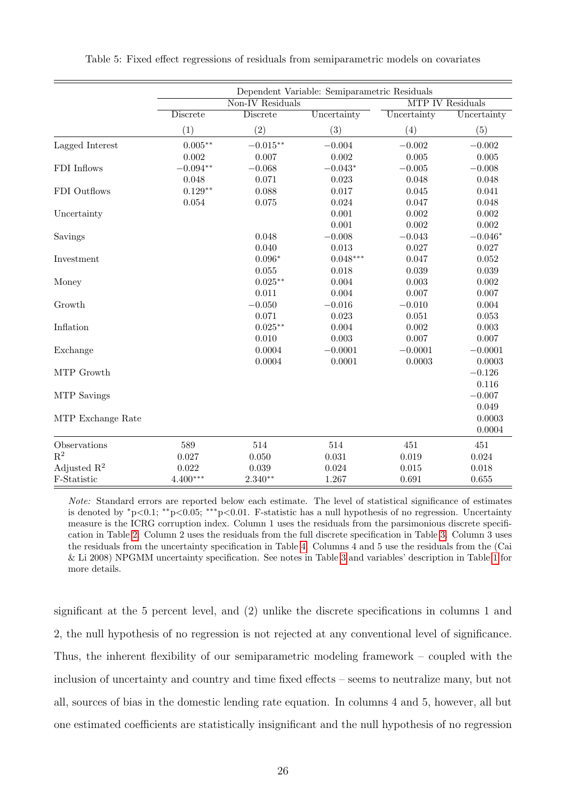|                         | Dependent Variable: Semiparametric Residuals |                 |             |                         |             |
|-------------------------|----------------------------------------------|-----------------|-------------|-------------------------|-------------|
|                         | Non-IV Residuals                             |                 |             | <b>MTP IV Residuals</b> |             |
|                         | <b>Discrete</b>                              | <b>Discrete</b> | Uncertainty | Uncertainty             | Uncertainty |
|                         | (1)                                          | (2)             | (3)         | (4)                     | (5)         |
| Lagged Interest         | $0.005**$                                    | $-0.015***$     | $-0.004$    | $-0.002$                | $-0.002$    |
|                         | 0.002                                        | 0.007           | 0.002       | 0.005                   | 0.005       |
| FDI Inflows             | $-0.094**$                                   | $-0.068$        | $-0.043*$   | $-0.005$                | $-0.008$    |
|                         | 0.048                                        | 0.071           | 0.023       | 0.048                   | 0.048       |
| FDI Outflows            | $0.129**$                                    | 0.088           | 0.017       | 0.045                   | 0.041       |
|                         | 0.054                                        | $0.075\,$       | 0.024       | 0.047                   | 0.048       |
| Uncertainty             |                                              |                 | 0.001       | 0.002                   | 0.002       |
|                         |                                              |                 | 0.001       | 0.002                   | 0.002       |
| Savings                 |                                              | 0.048           | $-0.008$    | $-0.043$                | $-0.046*$   |
|                         |                                              | 0.040           | $\,0.013\,$ | 0.027                   | 0.027       |
| Investment              |                                              | $0.096*$        | $0.048***$  | 0.047                   | 0.052       |
|                         |                                              | 0.055           | 0.018       | 0.039                   | 0.039       |
| Money                   |                                              | $0.025**$       | $0.004\,$   | 0.003                   | 0.002       |
|                         |                                              | 0.011           | 0.004       | 0.007                   | 0.007       |
| Growth                  |                                              | $-0.050$        | $-0.016$    | $-0.010$                | 0.004       |
|                         |                                              | 0.071           | 0.023       | 0.051                   | 0.053       |
| Inflation               |                                              | $0.025***$      | 0.004       | 0.002                   | 0.003       |
|                         |                                              | 0.010           | 0.003       | 0.007                   | 0.007       |
| Exchange                |                                              | 0.0004          | $-0.0001$   | $-0.0001$               | $-0.0001$   |
|                         |                                              | 0.0004          | 0.0001      | 0.0003                  | 0.0003      |
| MTP Growth              |                                              |                 |             |                         | $-0.126$    |
|                         |                                              |                 |             |                         | 0.116       |
| MTP Savings             |                                              |                 |             |                         | $-0.007$    |
|                         |                                              |                 |             |                         | 0.049       |
| MTP Exchange Rate       |                                              |                 |             |                         | 0.0003      |
|                         |                                              |                 |             |                         | 0.0004      |
| Observations            | 589                                          | 514             | 514         | 451                     | 451         |
| $R^2$                   | 0.027                                        | 0.050           | 0.031       | 0.019                   | 0.024       |
| Adjusted $\mathbb{R}^2$ | 0.022                                        | 0.039           | 0.024       | 0.015                   | 0.018       |
| F-Statistic             | $4.400***$                                   | $2.340**$       | 1.267       | 0.691                   | 0.655       |

<span id="page-25-0"></span>Table 5: Fixed effect regressions of residuals from semiparametric models on covariates

Note: Standard errors are reported below each estimate. The level of statistical significance of estimates is denoted by <sup>∗</sup>p<0.1; ∗∗p<0.05; ∗∗∗p<0.01. F-statistic has a null hypothesis of no regression. Uncertainty measure is the ICRG corruption index. Column 1 uses the residuals from the parsimonious discrete specification in Table [2.](#page-10-0) Column 2 uses the residuals from the full discrete specification in Table [3.](#page-11-0) Column 3 uses the residuals from the uncertainty specification in Table [4.](#page-12-0) Columns 4 and 5 use the residuals from the (Cai & Li 2008) NPGMM uncertainty specification. See notes in Table [3](#page-11-0) and variables' description in Table [1](#page-7-1) for more details.

significant at the 5 percent level, and (2) unlike the discrete specifications in columns 1 and 2, the null hypothesis of no regression is not rejected at any conventional level of significance. Thus, the inherent flexibility of our semiparametric modeling framework – coupled with the inclusion of uncertainty and country and time fixed effects – seems to neutralize many, but not all, sources of bias in the domestic lending rate equation. In columns 4 and 5, however, all but one estimated coefficients are statistically insignificant and the null hypothesis of no regression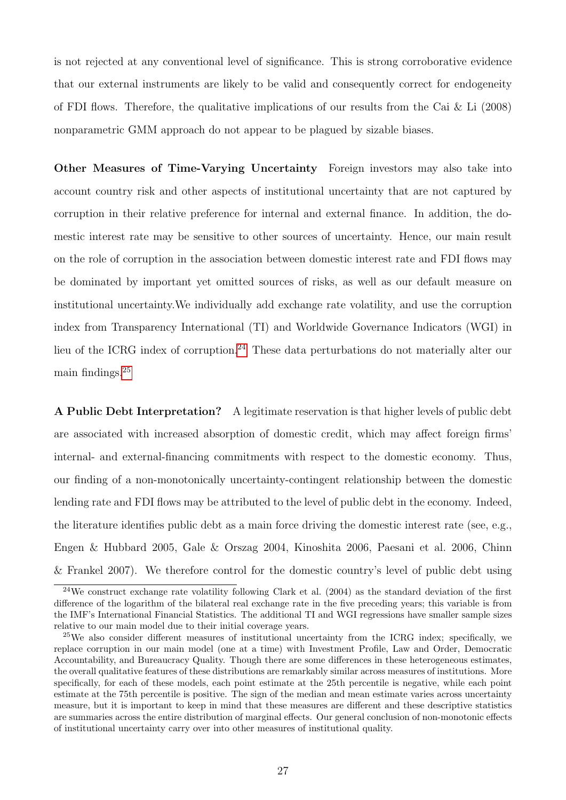is not rejected at any conventional level of significance. This is strong corroborative evidence that our external instruments are likely to be valid and consequently correct for endogeneity of FDI flows. Therefore, the qualitative implications of our results from the Cai  $\&$  Li (2008) nonparametric GMM approach do not appear to be plagued by sizable biases.

Other Measures of Time-Varying Uncertainty Foreign investors may also take into account country risk and other aspects of institutional uncertainty that are not captured by corruption in their relative preference for internal and external finance. In addition, the domestic interest rate may be sensitive to other sources of uncertainty. Hence, our main result on the role of corruption in the association between domestic interest rate and FDI flows may be dominated by important yet omitted sources of risks, as well as our default measure on institutional uncertainty.We individually add exchange rate volatility, and use the corruption index from Transparency International (TI) and Worldwide Governance Indicators (WGI) in lieu of the ICRG index of corruption.<sup>[24](#page-26-0)</sup> These data perturbations do not materially alter our main findings.[25](#page-26-1)

A Public Debt Interpretation? A legitimate reservation is that higher levels of public debt are associated with increased absorption of domestic credit, which may affect foreign firms' internal- and external-financing commitments with respect to the domestic economy. Thus, our finding of a non-monotonically uncertainty-contingent relationship between the domestic lending rate and FDI flows may be attributed to the level of public debt in the economy. Indeed, the literature identifies public debt as a main force driving the domestic interest rate (see, e.g., Engen & Hubbard 2005, Gale & Orszag 2004, Kinoshita 2006, Paesani et al. 2006, Chinn & Frankel 2007). We therefore control for the domestic country's level of public debt using

<span id="page-26-0"></span> $^{24}$ We construct exchange rate volatility following Clark et al. (2004) as the standard deviation of the first difference of the logarithm of the bilateral real exchange rate in the five preceding years; this variable is from the IMF's International Financial Statistics. The additional TI and WGI regressions have smaller sample sizes relative to our main model due to their initial coverage years.

<span id="page-26-1"></span><sup>25</sup>We also consider different measures of institutional uncertainty from the ICRG index; specifically, we replace corruption in our main model (one at a time) with Investment Profile, Law and Order, Democratic Accountability, and Bureaucracy Quality. Though there are some differences in these heterogeneous estimates, the overall qualitative features of these distributions are remarkably similar across measures of institutions. More specifically, for each of these models, each point estimate at the 25th percentile is negative, while each point estimate at the 75th percentile is positive. The sign of the median and mean estimate varies across uncertainty measure, but it is important to keep in mind that these measures are different and these descriptive statistics are summaries across the entire distribution of marginal effects. Our general conclusion of non-monotonic effects of institutional uncertainty carry over into other measures of institutional quality.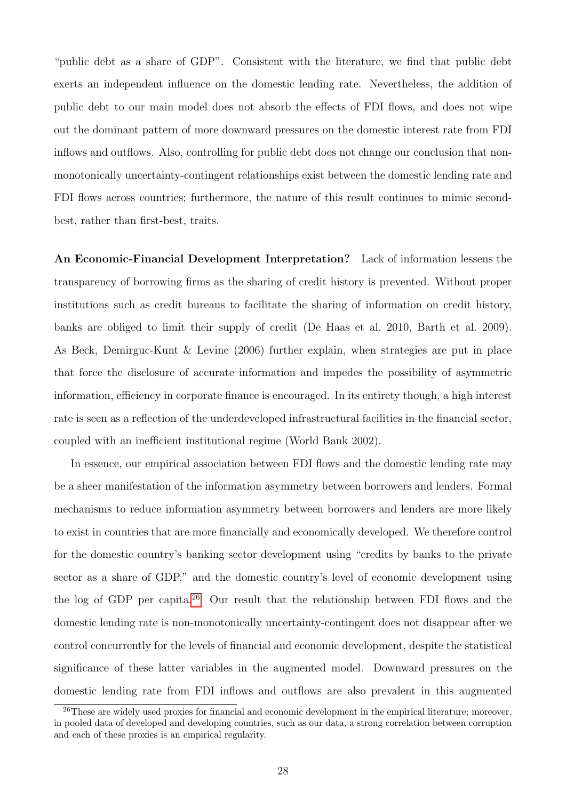"public debt as a share of GDP". Consistent with the literature, we find that public debt exerts an independent influence on the domestic lending rate. Nevertheless, the addition of public debt to our main model does not absorb the effects of FDI flows, and does not wipe out the dominant pattern of more downward pressures on the domestic interest rate from FDI inflows and outflows. Also, controlling for public debt does not change our conclusion that nonmonotonically uncertainty-contingent relationships exist between the domestic lending rate and FDI flows across countries; furthermore, the nature of this result continues to mimic secondbest, rather than first-best, traits.

An Economic-Financial Development Interpretation? Lack of information lessens the transparency of borrowing firms as the sharing of credit history is prevented. Without proper institutions such as credit bureaus to facilitate the sharing of information on credit history, banks are obliged to limit their supply of credit (De Haas et al. 2010, Barth et al. 2009). As Beck, Demirguc-Kunt & Levine (2006) further explain, when strategies are put in place that force the disclosure of accurate information and impedes the possibility of asymmetric information, efficiency in corporate finance is encouraged. In its entirety though, a high interest rate is seen as a reflection of the underdeveloped infrastructural facilities in the financial sector, coupled with an inefficient institutional regime (World Bank 2002).

In essence, our empirical association between FDI flows and the domestic lending rate may be a sheer manifestation of the information asymmetry between borrowers and lenders. Formal mechanisms to reduce information asymmetry between borrowers and lenders are more likely to exist in countries that are more financially and economically developed. We therefore control for the domestic country's banking sector development using "credits by banks to the private sector as a share of GDP," and the domestic country's level of economic development using the log of GDP per capita.<sup>[26](#page-27-0)</sup> Our result that the relationship between FDI flows and the domestic lending rate is non-monotonically uncertainty-contingent does not disappear after we control concurrently for the levels of financial and economic development, despite the statistical significance of these latter variables in the augmented model. Downward pressures on the domestic lending rate from FDI inflows and outflows are also prevalent in this augmented

<span id="page-27-0"></span><sup>&</sup>lt;sup>26</sup>These are widely used proxies for financial and economic development in the empirical literature; moreover, in pooled data of developed and developing countries, such as our data, a strong correlation between corruption and each of these proxies is an empirical regularity.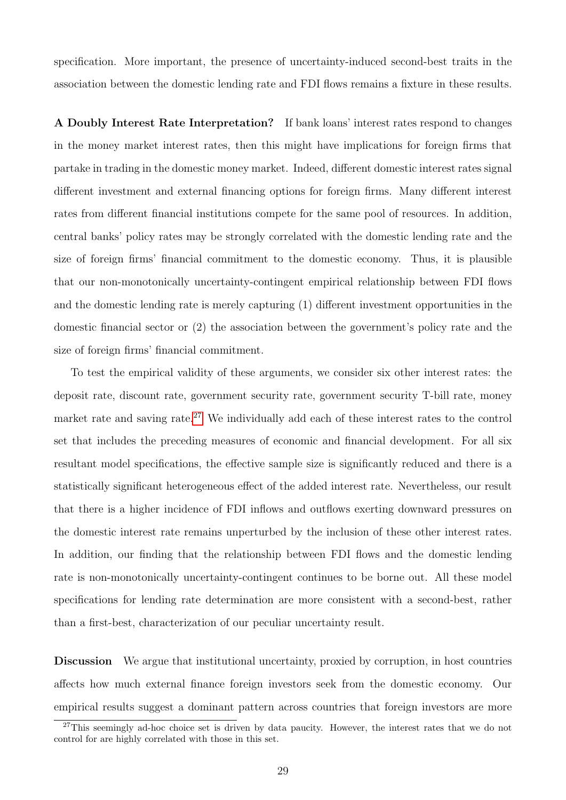specification. More important, the presence of uncertainty-induced second-best traits in the association between the domestic lending rate and FDI flows remains a fixture in these results.

A Doubly Interest Rate Interpretation? If bank loans' interest rates respond to changes in the money market interest rates, then this might have implications for foreign firms that partake in trading in the domestic money market. Indeed, different domestic interest rates signal different investment and external financing options for foreign firms. Many different interest rates from different financial institutions compete for the same pool of resources. In addition, central banks' policy rates may be strongly correlated with the domestic lending rate and the size of foreign firms' financial commitment to the domestic economy. Thus, it is plausible that our non-monotonically uncertainty-contingent empirical relationship between FDI flows and the domestic lending rate is merely capturing (1) different investment opportunities in the domestic financial sector or (2) the association between the government's policy rate and the size of foreign firms' financial commitment.

To test the empirical validity of these arguments, we consider six other interest rates: the deposit rate, discount rate, government security rate, government security T-bill rate, money market rate and saving rate.<sup>[27](#page-28-0)</sup> We individually add each of these interest rates to the control set that includes the preceding measures of economic and financial development. For all six resultant model specifications, the effective sample size is significantly reduced and there is a statistically significant heterogeneous effect of the added interest rate. Nevertheless, our result that there is a higher incidence of FDI inflows and outflows exerting downward pressures on the domestic interest rate remains unperturbed by the inclusion of these other interest rates. In addition, our finding that the relationship between FDI flows and the domestic lending rate is non-monotonically uncertainty-contingent continues to be borne out. All these model specifications for lending rate determination are more consistent with a second-best, rather than a first-best, characterization of our peculiar uncertainty result.

Discussion We argue that institutional uncertainty, proxied by corruption, in host countries affects how much external finance foreign investors seek from the domestic economy. Our empirical results suggest a dominant pattern across countries that foreign investors are more

<span id="page-28-0"></span><sup>&</sup>lt;sup>27</sup>This seemingly ad-hoc choice set is driven by data paucity. However, the interest rates that we do not control for are highly correlated with those in this set.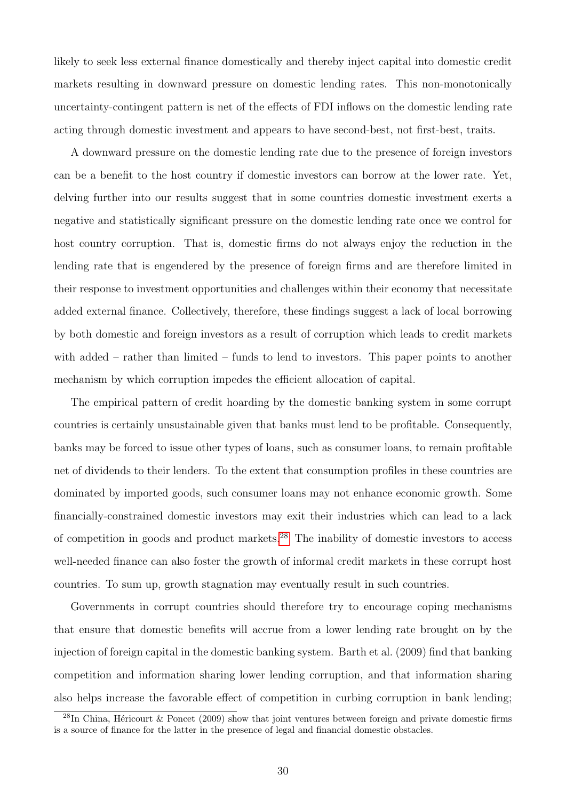likely to seek less external finance domestically and thereby inject capital into domestic credit markets resulting in downward pressure on domestic lending rates. This non-monotonically uncertainty-contingent pattern is net of the effects of FDI inflows on the domestic lending rate acting through domestic investment and appears to have second-best, not first-best, traits.

A downward pressure on the domestic lending rate due to the presence of foreign investors can be a benefit to the host country if domestic investors can borrow at the lower rate. Yet, delving further into our results suggest that in some countries domestic investment exerts a negative and statistically significant pressure on the domestic lending rate once we control for host country corruption. That is, domestic firms do not always enjoy the reduction in the lending rate that is engendered by the presence of foreign firms and are therefore limited in their response to investment opportunities and challenges within their economy that necessitate added external finance. Collectively, therefore, these findings suggest a lack of local borrowing by both domestic and foreign investors as a result of corruption which leads to credit markets with added – rather than limited – funds to lend to investors. This paper points to another mechanism by which corruption impedes the efficient allocation of capital.

The empirical pattern of credit hoarding by the domestic banking system in some corrupt countries is certainly unsustainable given that banks must lend to be profitable. Consequently, banks may be forced to issue other types of loans, such as consumer loans, to remain profitable net of dividends to their lenders. To the extent that consumption profiles in these countries are dominated by imported goods, such consumer loans may not enhance economic growth. Some financially-constrained domestic investors may exit their industries which can lead to a lack of competition in goods and product markets.<sup>[28](#page-29-0)</sup> The inability of domestic investors to access well-needed finance can also foster the growth of informal credit markets in these corrupt host countries. To sum up, growth stagnation may eventually result in such countries.

Governments in corrupt countries should therefore try to encourage coping mechanisms that ensure that domestic benefits will accrue from a lower lending rate brought on by the injection of foreign capital in the domestic banking system. Barth et al. (2009) find that banking competition and information sharing lower lending corruption, and that information sharing also helps increase the favorable effect of competition in curbing corruption in bank lending;

<span id="page-29-0"></span> $^{28}$ In China, Héricourt & Poncet (2009) show that joint ventures between foreign and private domestic firms is a source of finance for the latter in the presence of legal and financial domestic obstacles.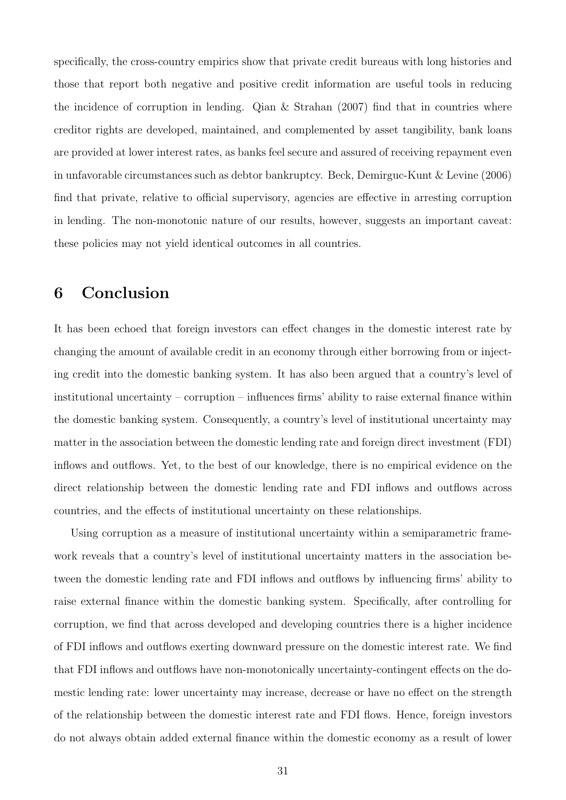specifically, the cross-country empirics show that private credit bureaus with long histories and those that report both negative and positive credit information are useful tools in reducing the incidence of corruption in lending. Qian & Strahan (2007) find that in countries where creditor rights are developed, maintained, and complemented by asset tangibility, bank loans are provided at lower interest rates, as banks feel secure and assured of receiving repayment even in unfavorable circumstances such as debtor bankruptcy. Beck, Demirguc-Kunt & Levine (2006) find that private, relative to official supervisory, agencies are effective in arresting corruption in lending. The non-monotonic nature of our results, however, suggests an important caveat: these policies may not yield identical outcomes in all countries.

## 6 Conclusion

It has been echoed that foreign investors can effect changes in the domestic interest rate by changing the amount of available credit in an economy through either borrowing from or injecting credit into the domestic banking system. It has also been argued that a country's level of institutional uncertainty – corruption – influences firms' ability to raise external finance within the domestic banking system. Consequently, a country's level of institutional uncertainty may matter in the association between the domestic lending rate and foreign direct investment (FDI) inflows and outflows. Yet, to the best of our knowledge, there is no empirical evidence on the direct relationship between the domestic lending rate and FDI inflows and outflows across countries, and the effects of institutional uncertainty on these relationships.

Using corruption as a measure of institutional uncertainty within a semiparametric framework reveals that a country's level of institutional uncertainty matters in the association between the domestic lending rate and FDI inflows and outflows by influencing firms' ability to raise external finance within the domestic banking system. Specifically, after controlling for corruption, we find that across developed and developing countries there is a higher incidence of FDI inflows and outflows exerting downward pressure on the domestic interest rate. We find that FDI inflows and outflows have non-monotonically uncertainty-contingent effects on the domestic lending rate: lower uncertainty may increase, decrease or have no effect on the strength of the relationship between the domestic interest rate and FDI flows. Hence, foreign investors do not always obtain added external finance within the domestic economy as a result of lower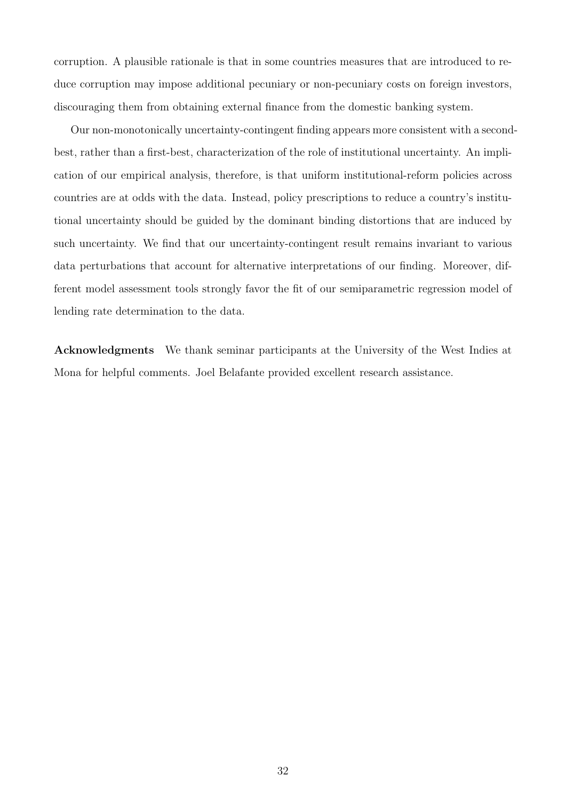corruption. A plausible rationale is that in some countries measures that are introduced to reduce corruption may impose additional pecuniary or non-pecuniary costs on foreign investors, discouraging them from obtaining external finance from the domestic banking system.

Our non-monotonically uncertainty-contingent finding appears more consistent with a secondbest, rather than a first-best, characterization of the role of institutional uncertainty. An implication of our empirical analysis, therefore, is that uniform institutional-reform policies across countries are at odds with the data. Instead, policy prescriptions to reduce a country's institutional uncertainty should be guided by the dominant binding distortions that are induced by such uncertainty. We find that our uncertainty-contingent result remains invariant to various data perturbations that account for alternative interpretations of our finding. Moreover, different model assessment tools strongly favor the fit of our semiparametric regression model of lending rate determination to the data.

Acknowledgments We thank seminar participants at the University of the West Indies at Mona for helpful comments. Joel Belafante provided excellent research assistance.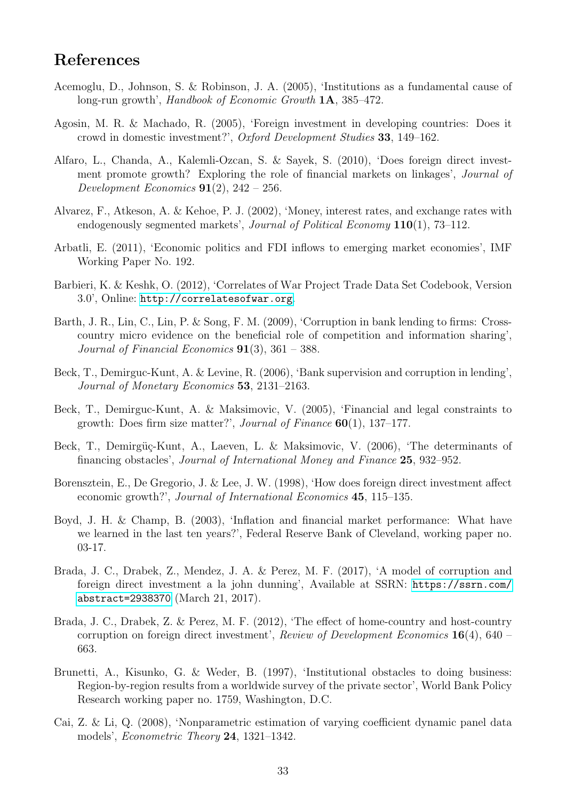## References

- Acemoglu, D., Johnson, S. & Robinson, J. A. (2005), 'Institutions as a fundamental cause of long-run growth', Handbook of Economic Growth **1A**, 385–472.
- Agosin, M. R. & Machado, R. (2005), 'Foreign investment in developing countries: Does it crowd in domestic investment?', Oxford Development Studies 33, 149–162.
- Alfaro, L., Chanda, A., Kalemli-Ozcan, S. & Sayek, S. (2010), 'Does foreign direct investment promote growth? Exploring the role of financial markets on linkages', Journal of Development Economics  $91(2)$ ,  $242 - 256$ .
- Alvarez, F., Atkeson, A. & Kehoe, P. J. (2002), 'Money, interest rates, and exchange rates with endogenously segmented markets', Journal of Political Economy 110(1), 73–112.
- Arbatli, E. (2011), 'Economic politics and FDI inflows to emerging market economies', IMF Working Paper No. 192.
- Barbieri, K. & Keshk, O. (2012), 'Correlates of War Project Trade Data Set Codebook, Version 3.0', Online: <http://correlatesofwar.org>.
- Barth, J. R., Lin, C., Lin, P. & Song, F. M. (2009), 'Corruption in bank lending to firms: Crosscountry micro evidence on the beneficial role of competition and information sharing', Journal of Financial Economics  $91(3)$ ,  $361 - 388$ .
- Beck, T., Demirguc-Kunt, A. & Levine, R. (2006), 'Bank supervision and corruption in lending', Journal of Monetary Economics 53, 2131–2163.
- Beck, T., Demirguc-Kunt, A. & Maksimovic, V. (2005), 'Financial and legal constraints to growth: Does firm size matter?', Journal of Finance 60(1), 137–177.
- Beck, T., Demirgüç-Kunt, A., Laeven, L. & Maksimovic, V. (2006), 'The determinants of financing obstacles', Journal of International Money and Finance 25, 932–952.
- Borensztein, E., De Gregorio, J. & Lee, J. W. (1998), 'How does foreign direct investment affect economic growth?', Journal of International Economics 45, 115–135.
- Boyd, J. H. & Champ, B. (2003), 'Inflation and financial market performance: What have we learned in the last ten years?', Federal Reserve Bank of Cleveland, working paper no. 03-17.
- Brada, J. C., Drabek, Z., Mendez, J. A. & Perez, M. F. (2017), 'A model of corruption and foreign direct investment a la john dunning', Available at SSRN: [https://ssrn.com/](https://ssrn.com/abstract=2938370) [abstract=2938370](https://ssrn.com/abstract=2938370) (March 21, 2017).
- Brada, J. C., Drabek, Z. & Perez, M. F. (2012), 'The effect of home-country and host-country corruption on foreign direct investment', Review of Development Economics  $16(4)$ , 640 – 663.
- Brunetti, A., Kisunko, G. & Weder, B. (1997), 'Institutional obstacles to doing business: Region-by-region results from a worldwide survey of the private sector', World Bank Policy Research working paper no. 1759, Washington, D.C.
- Cai, Z. & Li, Q. (2008), 'Nonparametric estimation of varying coefficient dynamic panel data models', Econometric Theory 24, 1321–1342.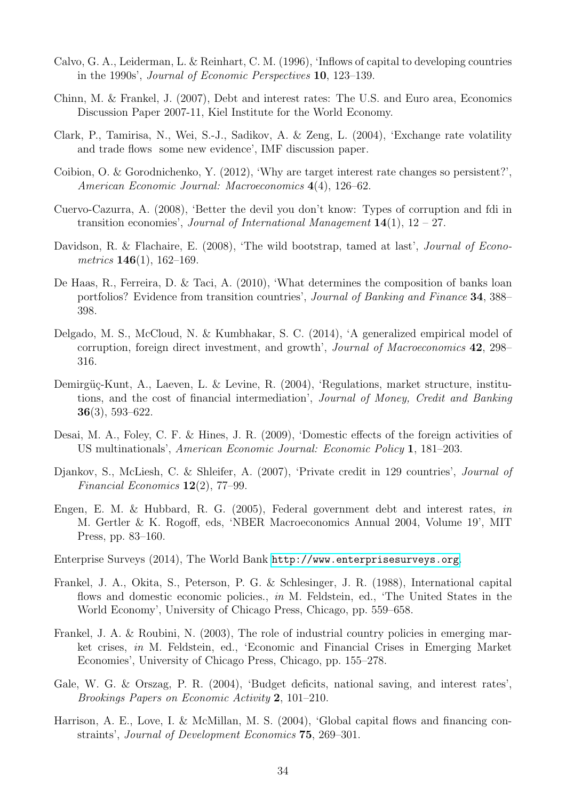- Calvo, G. A., Leiderman, L. & Reinhart, C. M. (1996), 'Inflows of capital to developing countries in the 1990s', Journal of Economic Perspectives 10, 123–139.
- Chinn, M. & Frankel, J. (2007), Debt and interest rates: The U.S. and Euro area, Economics Discussion Paper 2007-11, Kiel Institute for the World Economy.
- Clark, P., Tamirisa, N., Wei, S.-J., Sadikov, A. & Zeng, L. (2004), 'Exchange rate volatility and trade flows some new evidence', IMF discussion paper.
- Coibion, O. & Gorodnichenko, Y. (2012), 'Why are target interest rate changes so persistent?', American Economic Journal: Macroeconomics 4(4), 126–62.
- Cuervo-Cazurra, A. (2008), 'Better the devil you don't know: Types of corruption and fdi in transition economies', Journal of International Management  $14(1)$ ,  $12 - 27$ .
- Davidson, R. & Flachaire, E. (2008), 'The wild bootstrap, tamed at last', *Journal of Econo*metrics  $146(1)$ , 162-169.
- De Haas, R., Ferreira, D. & Taci, A. (2010), 'What determines the composition of banks loan portfolios? Evidence from transition countries', Journal of Banking and Finance 34, 388– 398.
- Delgado, M. S., McCloud, N. & Kumbhakar, S. C. (2014), 'A generalized empirical model of corruption, foreign direct investment, and growth', Journal of Macroeconomics 42, 298– 316.
- Demirgüç-Kunt, A., Laeven, L. & Levine, R. (2004), 'Regulations, market structure, institutions, and the cost of financial intermediation', Journal of Money, Credit and Banking 36(3), 593–622.
- Desai, M. A., Foley, C. F. & Hines, J. R. (2009), 'Domestic effects of the foreign activities of US multinationals', American Economic Journal: Economic Policy 1, 181–203.
- Djankov, S., McLiesh, C. & Shleifer, A. (2007), 'Private credit in 129 countries', Journal of Financial Economics 12(2), 77–99.
- Engen, E. M. & Hubbard, R. G. (2005), Federal government debt and interest rates, in M. Gertler & K. Rogoff, eds, 'NBER Macroeconomics Annual 2004, Volume 19', MIT Press, pp. 83–160.
- Enterprise Surveys (2014), The World Bank <http://www.enterprisesurveys.org>.
- Frankel, J. A., Okita, S., Peterson, P. G. & Schlesinger, J. R. (1988), International capital flows and domestic economic policies., in M. Feldstein, ed., 'The United States in the World Economy', University of Chicago Press, Chicago, pp. 559–658.
- Frankel, J. A. & Roubini, N. (2003), The role of industrial country policies in emerging market crises, in M. Feldstein, ed., 'Economic and Financial Crises in Emerging Market Economies', University of Chicago Press, Chicago, pp. 155–278.
- Gale, W. G. & Orszag, P. R. (2004), 'Budget deficits, national saving, and interest rates', Brookings Papers on Economic Activity 2, 101–210.
- Harrison, A. E., Love, I. & McMillan, M. S. (2004), 'Global capital flows and financing constraints', Journal of Development Economics 75, 269–301.